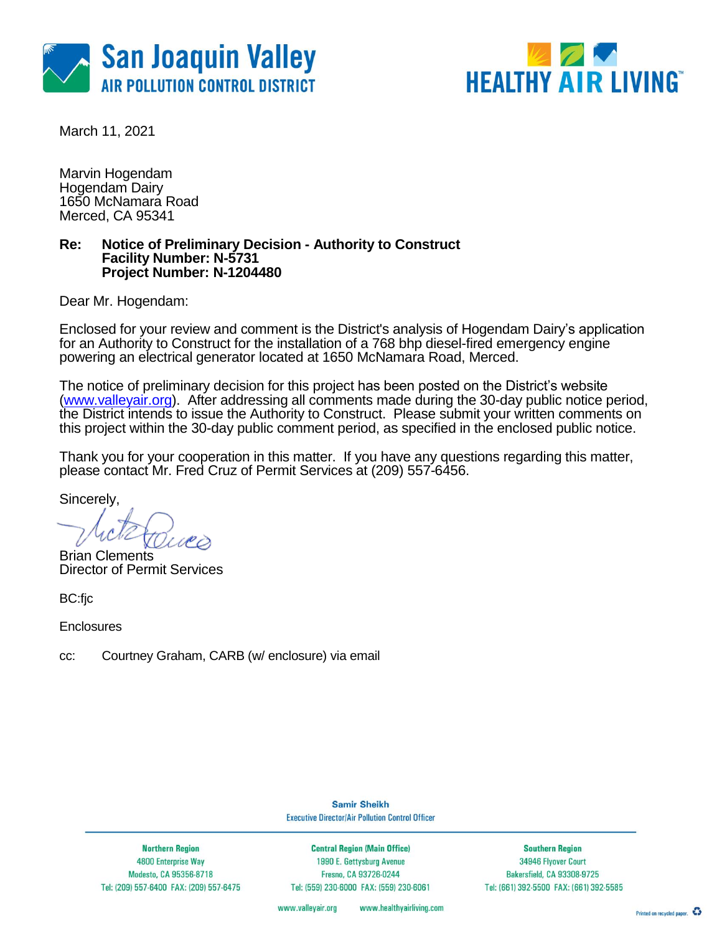



March 11, 2021

Marvin Hogendam Hogendam Dairy 1650 McNamara Road Merced, CA 95341

#### **Re: Notice of Preliminary Decision - Authority to Construct Facility Number: N-5731 Project Number: N-1204480**

Dear Mr. Hogendam:

Enclosed for your review and comment is the District's analysis of Hogendam Dairy's application for an Authority to Construct for the installation of a 768 bhp diesel-fired emergency engine powering an electrical generator located at 1650 McNamara Road, Merced.

The notice of preliminary decision for this project has been posted on the District's website [\(www.valleyair.org\)](http://www.valleyair.org/). After addressing all comments made during the 30-day public notice period, the District intends to issue the Authority to Construct. Please submit your written comments on this project within the 30-day public comment period, as specified in the enclosed public notice.

Thank you for your cooperation in this matter. If you have any questions regarding this matter, please contact Mr. Fred Cruz of Permit Services at (209) 557-6456.

Sincerely,

Brian Clements Director of Permit Services

BC:fjc

**Enclosures** 

cc: Courtney Graham, CARB (w/ enclosure) via email

**Samir Sheikh Executive Director/Air Pollution Control Officer** 

**Northern Region** 4800 Enterprise Way Modesto, CA 95356-8718 Tel: (209) 557-6400 FAX: (209) 557-6475

**Central Region (Main Office)** 1990 E. Gettysburg Avenue Fresno, CA 93726-0244 Tel: (559) 230-6000 FAX: (559) 230-6061

**Southern Region** 34946 Flyover Court Bakersfield, CA 93308-9725 Tel: (661) 392-5500 FAX: (661) 392-5585

www.healthyairliving.com www.valleyair.org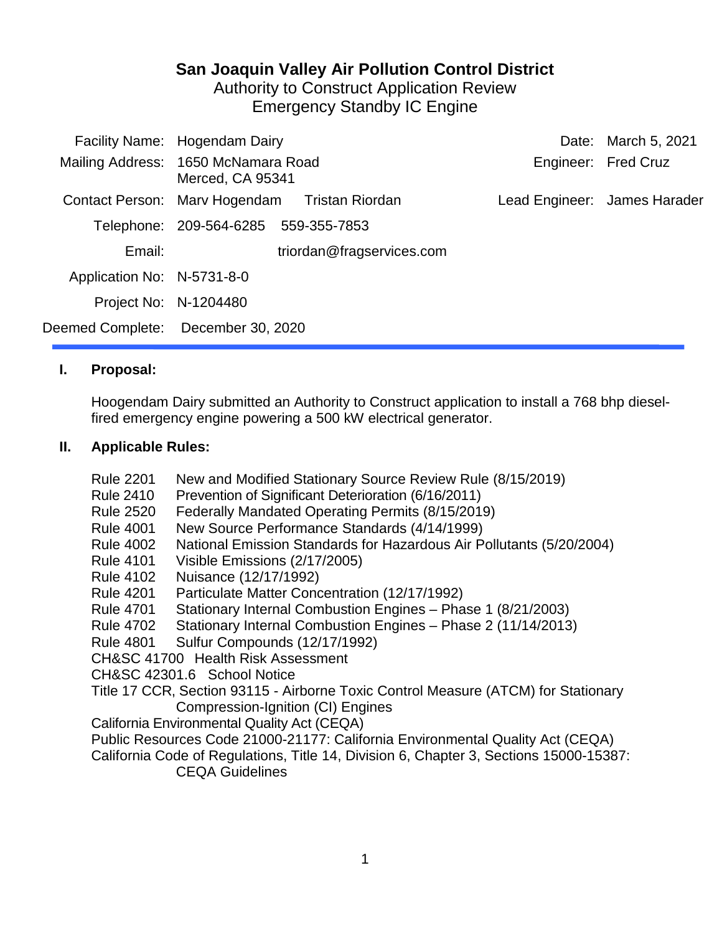# **San Joaquin Valley Air Pollution Control District**

Authority to Construct Application Review Emergency Standby IC Engine

|                            | Facility Name: Hogendam Dairy                           |                              | Date: March 5, 2021 |
|----------------------------|---------------------------------------------------------|------------------------------|---------------------|
|                            | Mailing Address: 1650 McNamara Road<br>Merced, CA 95341 |                              | Engineer: Fred Cruz |
|                            | Contact Person: Mary Hogendam Tristan Riordan           | Lead Engineer: James Harader |                     |
|                            | Telephone: 209-564-6285 559-355-7853                    |                              |                     |
| Email:                     | triordan@fragservices.com                               |                              |                     |
| Application No: N-5731-8-0 |                                                         |                              |                     |
|                            | Project No: N-1204480                                   |                              |                     |
|                            | Deemed Complete: December 30, 2020                      |                              |                     |
|                            |                                                         |                              |                     |

### **I. Proposal:**

Hoogendam Dairy submitted an Authority to Construct application to install a 768 bhp dieselfired emergency engine powering a 500 kW electrical generator.

### **II. Applicable Rules:**

- Rule 2201 New and Modified Stationary Source Review Rule (8/15/2019)
- Rule 2410 Prevention of Significant Deterioration (6/16/2011)
- Rule 2520 Federally Mandated Operating Permits (8/15/2019)
- Rule 4001 New Source Performance Standards (4/14/1999)
- Rule 4002 National Emission Standards for Hazardous Air Pollutants (5/20/2004)
- Rule 4101 Visible Emissions (2/17/2005)
- Rule 4102 Nuisance (12/17/1992)
- Rule 4201 Particulate Matter Concentration (12/17/1992)
- Rule 4701 Stationary Internal Combustion Engines Phase 1 (8/21/2003)
- Rule 4702 Stationary Internal Combustion Engines Phase 2 (11/14/2013)

Rule 4801 Sulfur Compounds (12/17/1992)

CH&SC 41700 Health Risk Assessment

CH&SC 42301.6 School Notice

- Title 17 CCR, Section 93115 Airborne Toxic Control Measure (ATCM) for Stationary Compression-Ignition (CI) Engines
- California Environmental Quality Act (CEQA)
- Public Resources Code 21000-21177: California Environmental Quality Act (CEQA)

California Code of Regulations, Title 14, Division 6, Chapter 3, Sections 15000-15387: CEQA Guidelines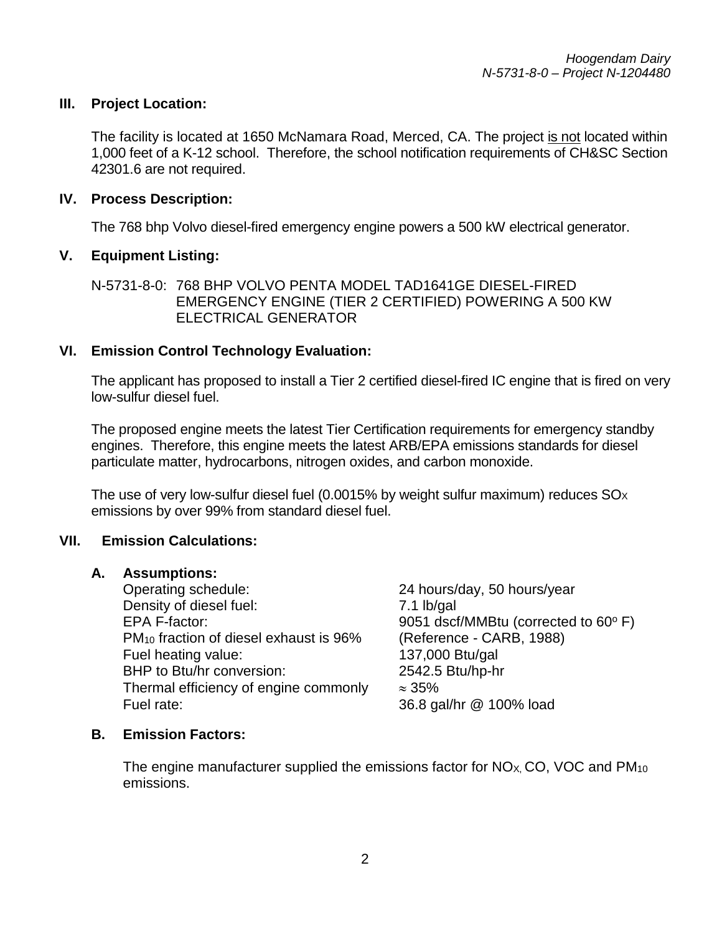#### **III. Project Location:**

The facility is located at 1650 McNamara Road, Merced, CA. The project is not located within 1,000 feet of a K-12 school. Therefore, the school notification requirements of CH&SC Section 42301.6 are not required.

#### **IV. Process Description:**

The 768 bhp Volvo diesel-fired emergency engine powers a 500 kW electrical generator.

#### **V. Equipment Listing:**

#### **VI. Emission Control Technology Evaluation:**

The applicant has proposed to install a Tier 2 certified diesel-fired IC engine that is fired on very low-sulfur diesel fuel.

The proposed engine meets the latest Tier Certification requirements for emergency standby engines. Therefore, this engine meets the latest ARB/EPA emissions standards for diesel particulate matter, hydrocarbons, nitrogen oxides, and carbon monoxide.

The use of very low-sulfur diesel fuel (0.0015% by weight sulfur maximum) reduces  $SO_{\rm X}$ emissions by over 99% from standard diesel fuel.

#### **VII. Emission Calculations:**

#### **A. Assumptions:**

Operating schedule: 24 hours/day, 50 hours/year Density of diesel fuel: 7.1 lb/gal EPA F-factor: **EPA F-factor:** 9051 dscf/MMBtu (corrected to 60<sup>o</sup> F) PM10 fraction of diesel exhaust is 96% (Reference - CARB, 1988) Fuel heating value: 137,000 Btu/gal BHP to Btu/hr conversion: 2542.5 Btu/hp-hr Thermal efficiency of engine commonly  $\approx 35\%$ Fuel rate: 36.8 gal/hr @ 100% load

#### **B. Emission Factors:**

The engine manufacturer supplied the emissions factor for  $NO<sub>X</sub>$ , CO, VOC and  $PM<sub>10</sub>$ emissions.

N-5731-8-0: 768 BHP VOLVO PENTA MODEL TAD1641GE DIESEL-FIRED EMERGENCY ENGINE (TIER 2 CERTIFIED) POWERING A 500 KW ELECTRICAL GENERATOR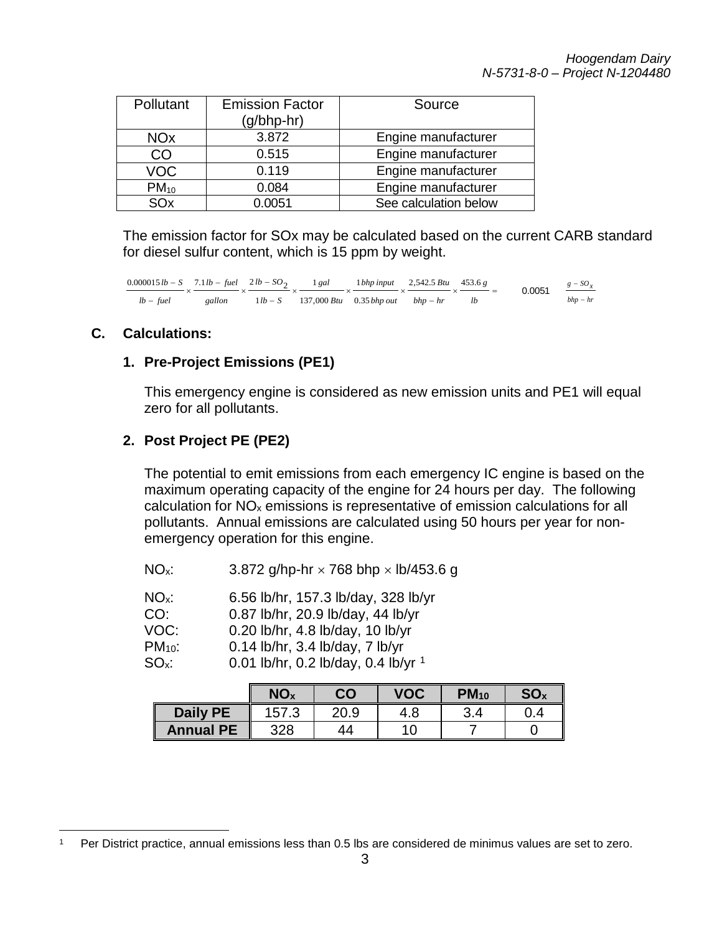| Pollutant             | <b>Emission Factor</b><br>$(g/bhp-hr)$ | Source                |
|-----------------------|----------------------------------------|-----------------------|
| <b>NO<sub>x</sub></b> | 3.872                                  | Engine manufacturer   |
| CO                    | 0.515                                  | Engine manufacturer   |
| VOC                   | 0.119                                  | Engine manufacturer   |
| $PM_{10}$             | 0.084                                  | Engine manufacturer   |
| SOx                   | 0.0051                                 | See calculation below |

The emission factor for SOx may be calculated based on the current CARB standard for diesel sulfur content, which is 15 ppm by weight.

 $\times$   $\frac{c}{c}$  = −  $x \xrightarrow{c} x \xrightarrow{c} x$ −  $\times \frac{7.1 \text{ lb} - \text{fuel}}{\times} \times \frac{2 \text{ lb} -$ − − *lb g bhp hr Btu bhp out bhp input Btu gal lb S lb SO gallon lb fuel lb fuel lb*  $-S$  7.1*lb*  $-$  *fuel*  $21b - SO_2$  1 gal 1 *bhp input* 2,542.5 *Btu* 453.6 0.35 1 137,000 1 1  $\frac{0.000015 \, lb - S}{lb - fuel} \times \frac{7.1 \, lb - fuel}{\text{gallon}} \times \frac{2 \, lb - SO_2}{11 \, lb - S} \times \frac{1 \, gal}{137,000 \, Btu} \times \frac{1 \, bhp \, input}{0.35 \, bhp \, out} \times \frac{2,542.5 \, Btu}{bhp - hr} \times \frac{453.6 \, g}{lb} = 0.0051$  $g$  *sO*<sub> $x$ </sub> − −

#### **C. Calculations:**

#### **1. Pre-Project Emissions (PE1)**

This emergency engine is considered as new emission units and PE1 will equal zero for all pollutants.

#### **2. Post Project PE (PE2)**

The potential to emit emissions from each emergency IC engine is based on the maximum operating capacity of the engine for 24 hours per day. The following calculation for NOx emissions is representative of emission calculations for all pollutants. Annual emissions are calculated using 50 hours per year for nonemergency operation for this engine.

| $NOx$ : | 3.872 g/hp-hr $\times$ 768 bhp $\times$ lb/453.6 g |  |
|---------|----------------------------------------------------|--|
|         |                                                    |  |

| $NOx$ : |  | 6.56 lb/hr, 157.3 lb/day, 328 lb/yr |  |
|---------|--|-------------------------------------|--|
|---------|--|-------------------------------------|--|

| CO: | 0.87 lb/hr, 20.9 lb/day, 44 lb/yr |  |
|-----|-----------------------------------|--|
|     |                                   |  |

- VOC: 0.20 lb/hr, 4.8 lb/day, 10 lb/yr
- PM10: 0.14 lb/hr, 3.4 lb/day, 7 lb/yr
- SOx: 0.01 lb/hr, 0.2 lb/day, 0.4 lb/yr [1](#page-3-0)

|                  | NO <sub>x</sub> | CO   | <b>VOC</b> | $PM_{10}$ | SO <sub>x</sub> |
|------------------|-----------------|------|------------|-----------|-----------------|
| <b>Daily PE</b>  | 157.3           | 20.9 | 4.8        | 3.4       | 0.4             |
| <b>Annual PE</b> | 328             | 44   | 10         |           |                 |

<span id="page-3-0"></span> <sup>1</sup> Per District practice, annual emissions less than 0.5 lbs are considered de minimus values are set to zero.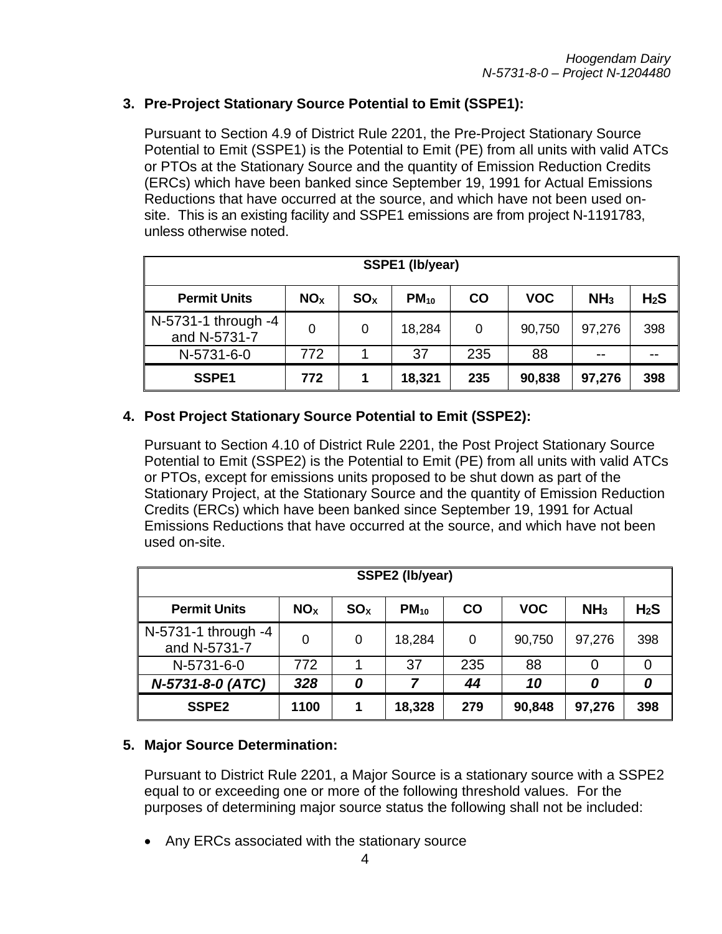# **3. Pre-Project Stationary Source Potential to Emit (SSPE1):**

Pursuant to Section 4.9 of District Rule 2201, the Pre-Project Stationary Source Potential to Emit (SSPE1) is the Potential to Emit (PE) from all units with valid ATCs or PTOs at the Stationary Source and the quantity of Emission Reduction Credits (ERCs) which have been banked since September 19, 1991 for Actual Emissions Reductions that have occurred at the source, and which have not been used onsite. This is an existing facility and SSPE1 emissions are from project N-1191783, unless otherwise noted.

| SSPE1 (lb/year)                     |                 |                 |           |           |            |                 |                  |  |
|-------------------------------------|-----------------|-----------------|-----------|-----------|------------|-----------------|------------------|--|
| <b>Permit Units</b>                 | NO <sub>X</sub> | SO <sub>x</sub> | $PM_{10}$ | <b>CO</b> | <b>VOC</b> | NH <sub>3</sub> | H <sub>2</sub> S |  |
| N-5731-1 through -4<br>and N-5731-7 | 0               | 0               | 18,284    | 0         | 90,750     | 97,276          | 398              |  |
| N-5731-6-0                          | 772             |                 | 37        | 235       | 88         | $- -$           |                  |  |
| SSPE1                               | 772             |                 | 18,321    | 235       | 90,838     | 97,276          | 398              |  |

### **4. Post Project Stationary Source Potential to Emit (SSPE2):**

Pursuant to Section 4.10 of District Rule 2201, the Post Project Stationary Source Potential to Emit (SSPE2) is the Potential to Emit (PE) from all units with valid ATCs or PTOs, except for emissions units proposed to be shut down as part of the Stationary Project, at the Stationary Source and the quantity of Emission Reduction Credits (ERCs) which have been banked since September 19, 1991 for Actual Emissions Reductions that have occurred at the source, and which have not been used on-site.

| SSPE2 (lb/year)                     |                 |                 |           |           |            |                 |                  |  |
|-------------------------------------|-----------------|-----------------|-----------|-----------|------------|-----------------|------------------|--|
| <b>Permit Units</b>                 | NO <sub>X</sub> | SO <sub>x</sub> | $PM_{10}$ | <b>CO</b> | <b>VOC</b> | NH <sub>3</sub> | H <sub>2</sub> S |  |
| N-5731-1 through -4<br>and N-5731-7 | 0               | 0               | 18,284    | 0         | 90,750     | 97,276          | 398              |  |
| N-5731-6-0                          | 772             | 1               | 37        | 235       | 88         | 0               | 0                |  |
| N-5731-8-0 (ATC)                    | 328             | 0               | 7         | 44        | 10         | 0               | 0                |  |
| SSPE <sub>2</sub>                   | 1100            | 1               | 18,328    | 279       | 90,848     | 97,276          | 398              |  |

#### **5. Major Source Determination:**

Pursuant to District Rule 2201, a Major Source is a stationary source with a SSPE2 equal to or exceeding one or more of the following threshold values. For the purposes of determining major source status the following shall not be included:

• Any ERCs associated with the stationary source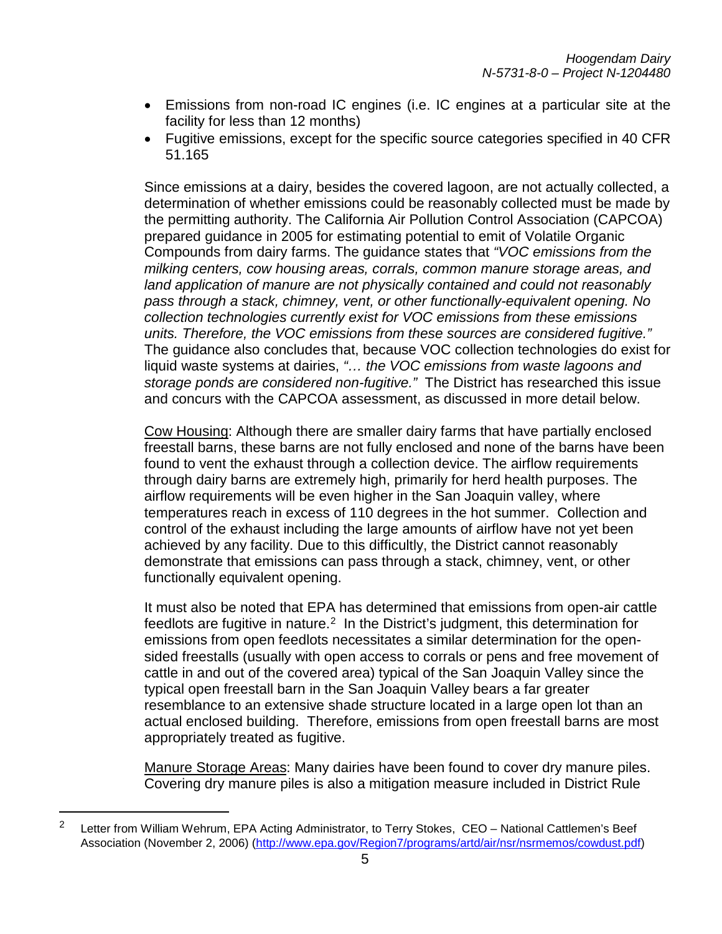- Emissions from non-road IC engines (i.e. IC engines at a particular site at the facility for less than 12 months)
- Fugitive emissions, except for the specific source categories specified in 40 CFR 51.165

Since emissions at a dairy, besides the covered lagoon, are not actually collected, a determination of whether emissions could be reasonably collected must be made by the permitting authority. The California Air Pollution Control Association (CAPCOA) prepared guidance in 2005 for estimating potential to emit of Volatile Organic Compounds from dairy farms. The guidance states that *"VOC emissions from the milking centers, cow housing areas, corrals, common manure storage areas, and land application of manure are not physically contained and could not reasonably pass through a stack, chimney, vent, or other functionally-equivalent opening. No collection technologies currently exist for VOC emissions from these emissions units. Therefore, the VOC emissions from these sources are considered fugitive."*  The guidance also concludes that, because VOC collection technologies do exist for liquid waste systems at dairies, *"… the VOC emissions from waste lagoons and storage ponds are considered non-fugitive."* The District has researched this issue and concurs with the CAPCOA assessment, as discussed in more detail below.

Cow Housing: Although there are smaller dairy farms that have partially enclosed freestall barns, these barns are not fully enclosed and none of the barns have been found to vent the exhaust through a collection device. The airflow requirements through dairy barns are extremely high, primarily for herd health purposes. The airflow requirements will be even higher in the San Joaquin valley, where temperatures reach in excess of 110 degrees in the hot summer. Collection and control of the exhaust including the large amounts of airflow have not yet been achieved by any facility. Due to this difficultly, the District cannot reasonably demonstrate that emissions can pass through a stack, chimney, vent, or other functionally equivalent opening.

It must also be noted that EPA has determined that emissions from open-air cattle  $f$ eedlots are fugitive in nature.<sup>2</sup> In the District's judgment, this determination for emissions from open feedlots necessitates a similar determination for the opensided freestalls (usually with open access to corrals or pens and free movement of cattle in and out of the covered area) typical of the San Joaquin Valley since the typical open freestall barn in the San Joaquin Valley bears a far greater resemblance to an extensive shade structure located in a large open lot than an actual enclosed building. Therefore, emissions from open freestall barns are most appropriately treated as fugitive.

Manure Storage Areas: Many dairies have been found to cover dry manure piles. Covering dry manure piles is also a mitigation measure included in District Rule

<span id="page-5-0"></span><sup>&</sup>lt;sup>2</sup> Letter from William Wehrum, EPA Acting Administrator, to Terry Stokes, CEO – National Cattlemen's Beef Association (November 2, 2006) [\(http://www.epa.gov/Region7/programs/artd/air/nsr/nsrmemos/cowdust.pdf\)](http://www.epa.gov/Region7/programs/artd/air/nsr/nsrmemos/cowdust.pdf)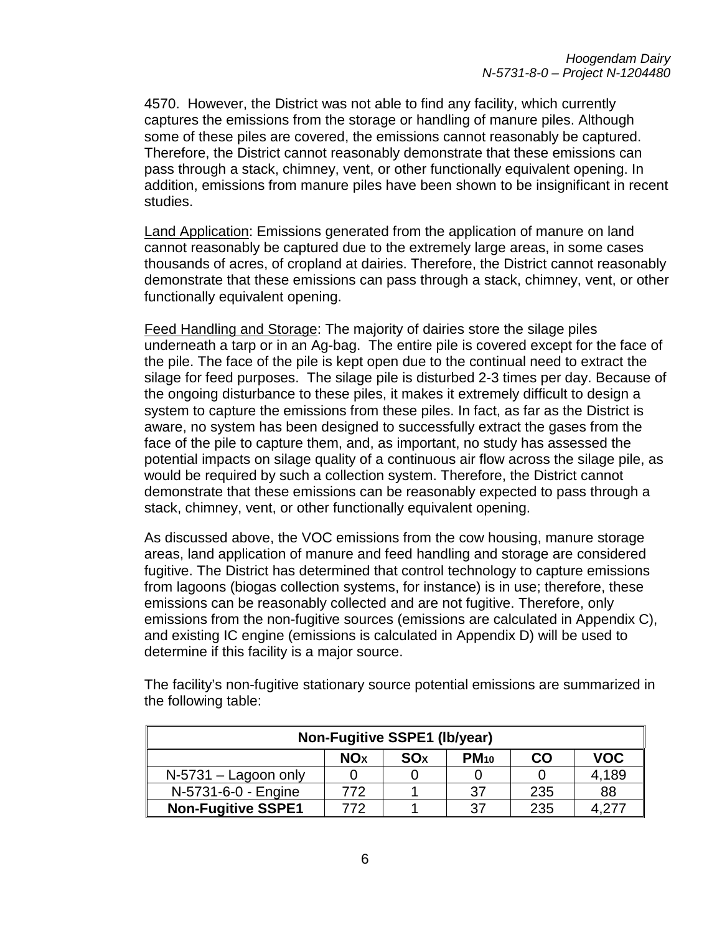4570. However, the District was not able to find any facility, which currently captures the emissions from the storage or handling of manure piles. Although some of these piles are covered, the emissions cannot reasonably be captured. Therefore, the District cannot reasonably demonstrate that these emissions can pass through a stack, chimney, vent, or other functionally equivalent opening. In addition, emissions from manure piles have been shown to be insignificant in recent studies.

Land Application: Emissions generated from the application of manure on land cannot reasonably be captured due to the extremely large areas, in some cases thousands of acres, of cropland at dairies. Therefore, the District cannot reasonably demonstrate that these emissions can pass through a stack, chimney, vent, or other functionally equivalent opening.

Feed Handling and Storage: The majority of dairies store the silage piles underneath a tarp or in an Ag-bag. The entire pile is covered except for the face of the pile. The face of the pile is kept open due to the continual need to extract the silage for feed purposes. The silage pile is disturbed 2-3 times per day. Because of the ongoing disturbance to these piles, it makes it extremely difficult to design a system to capture the emissions from these piles. In fact, as far as the District is aware, no system has been designed to successfully extract the gases from the face of the pile to capture them, and, as important, no study has assessed the potential impacts on silage quality of a continuous air flow across the silage pile, as would be required by such a collection system. Therefore, the District cannot demonstrate that these emissions can be reasonably expected to pass through a stack, chimney, vent, or other functionally equivalent opening.

As discussed above, the VOC emissions from the cow housing, manure storage areas, land application of manure and feed handling and storage are considered fugitive. The District has determined that control technology to capture emissions from lagoons (biogas collection systems, for instance) is in use; therefore, these emissions can be reasonably collected and are not fugitive. Therefore, only emissions from the non-fugitive sources (emissions are calculated in Appendix C), and existing IC engine (emissions is calculated in Appendix D) will be used to determine if this facility is a major source.

| <b>Non-Fugitive SSPE1 (lb/year)</b>                                                     |     |  |    |     |       |  |  |  |
|-----------------------------------------------------------------------------------------|-----|--|----|-----|-------|--|--|--|
| <b>VOC</b><br>CO<br>PM <sub>10</sub><br><b>NO<sub>x</sub></b><br><b>SO</b> <sub>x</sub> |     |  |    |     |       |  |  |  |
| $N-5731 -$ Lagoon only                                                                  |     |  |    |     | 4,189 |  |  |  |
| N-5731-6-0 - Engine                                                                     | 772 |  | 37 | 235 | 88    |  |  |  |
| <b>Non-Fugitive SSPE1</b>                                                               | 772 |  | 37 | 235 |       |  |  |  |

The facility's non-fugitive stationary source potential emissions are summarized in the following table: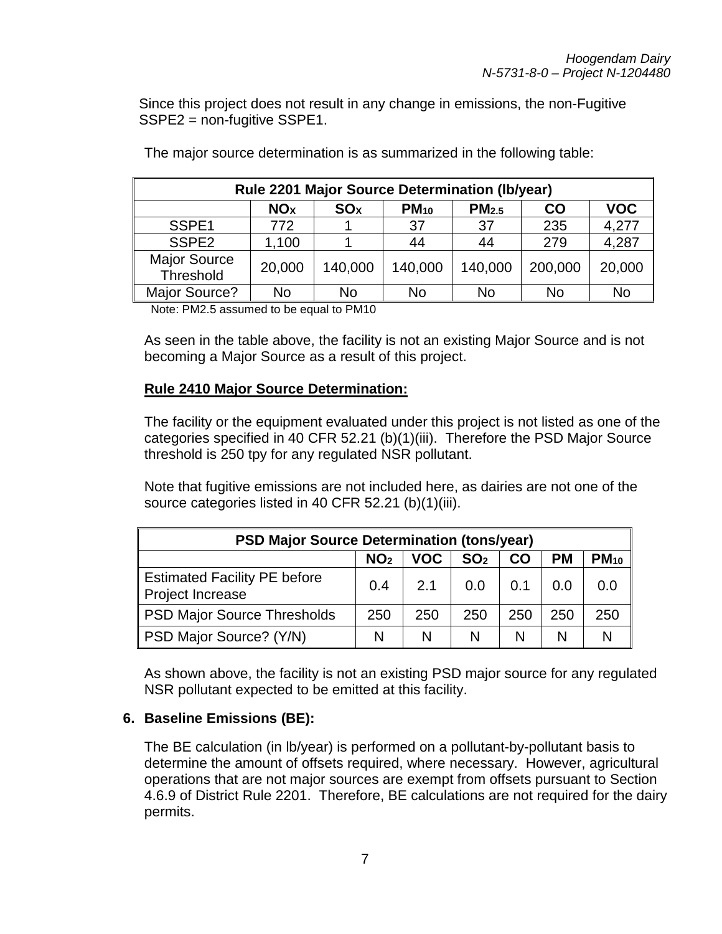Since this project does not result in any change in emissions, the non-Fugitive SSPE2 = non-fugitive SSPE1.

| <b>Rule 2201 Major Source Determination (Ib/year)</b> |                                                                                                             |         |         |         |           |        |  |  |  |  |
|-------------------------------------------------------|-------------------------------------------------------------------------------------------------------------|---------|---------|---------|-----------|--------|--|--|--|--|
|                                                       | PM <sub>2.5</sub><br><b>VOC</b><br><b>NO<sub>x</sub></b><br>$PM_{10}$<br><b>SO<sub>x</sub></b><br><b>CO</b> |         |         |         |           |        |  |  |  |  |
| SSPE1                                                 | 772                                                                                                         |         | 37      | -37     | 235       | 4,277  |  |  |  |  |
| SSPE <sub>2</sub>                                     | 1,100                                                                                                       |         | 44      | 44      | 279       | 4,287  |  |  |  |  |
| <b>Major Source</b><br>Threshold                      | 20,000                                                                                                      | 140,000 | 140,000 | 140,000 | 200,000   | 20,000 |  |  |  |  |
| Major Source?                                         | No.                                                                                                         | No      | No      | No      | <b>No</b> | No     |  |  |  |  |

The major source determination is as summarized in the following table:

Note: PM2.5 assumed to be equal to PM10

As seen in the table above, the facility is not an existing Major Source and is not becoming a Major Source as a result of this project.

#### **Rule 2410 Major Source Determination:**

The facility or the equipment evaluated under this project is not listed as one of the categories specified in 40 CFR 52.21 (b)(1)(iii). Therefore the PSD Major Source threshold is 250 tpy for any regulated NSR pollutant.

Note that fugitive emissions are not included here, as dairies are not one of the source categories listed in 40 CFR 52.21 (b)(1)(iii).

| <b>PSD Major Source Determination (tons/year)</b>                         |     |     |     |     |     |     |  |  |
|---------------------------------------------------------------------------|-----|-----|-----|-----|-----|-----|--|--|
| $PM_{10}$<br>VOC<br><b>PM</b><br>NO <sub>2</sub><br>SO <sub>2</sub><br>CO |     |     |     |     |     |     |  |  |
| <b>Estimated Facility PE before</b><br>Project Increase                   | 0.4 | 2.1 | 0.0 | 0.1 | 0.0 | 0.0 |  |  |
| <b>PSD Major Source Thresholds</b>                                        | 250 | 250 | 250 | 250 | 250 | 250 |  |  |
| PSD Major Source? (Y/N)                                                   | N   | N   | N   | N   | N   |     |  |  |

As shown above, the facility is not an existing PSD major source for any regulated NSR pollutant expected to be emitted at this facility.

#### **6. Baseline Emissions (BE):**

The BE calculation (in lb/year) is performed on a pollutant-by-pollutant basis to determine the amount of offsets required, where necessary. However, agricultural operations that are not major sources are exempt from offsets pursuant to Section 4.6.9 of District Rule 2201. Therefore, BE calculations are not required for the dairy permits.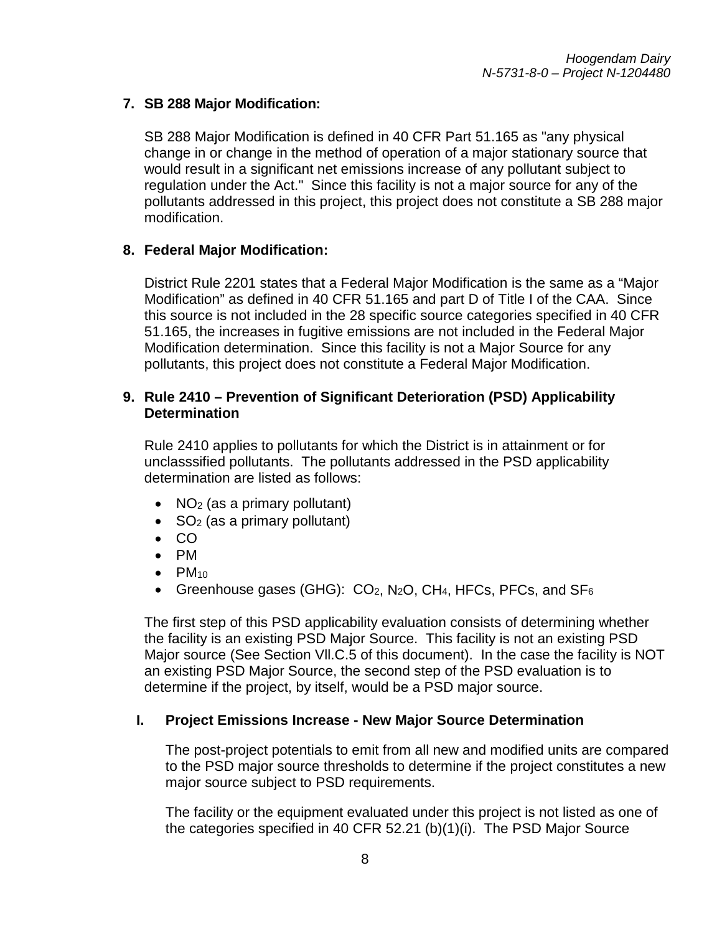## **7. SB 288 Major Modification:**

SB 288 Major Modification is defined in 40 CFR Part 51.165 as "any physical change in or change in the method of operation of a major stationary source that would result in a significant net emissions increase of any pollutant subject to regulation under the Act." Since this facility is not a major source for any of the pollutants addressed in this project, this project does not constitute a SB 288 major modification.

#### **8. Federal Major Modification:**

District Rule 2201 states that a Federal Major Modification is the same as a "Major Modification" as defined in 40 CFR 51.165 and part D of Title I of the CAA. Since this source is not included in the 28 specific source categories specified in 40 CFR 51.165, the increases in fugitive emissions are not included in the Federal Major Modification determination. Since this facility is not a Major Source for any pollutants, this project does not constitute a Federal Major Modification.

#### **9. Rule 2410 – Prevention of Significant Deterioration (PSD) Applicability Determination**

Rule 2410 applies to pollutants for which the District is in attainment or for unclasssified pollutants. The pollutants addressed in the PSD applicability determination are listed as follows:

- NO<sub>2</sub> (as a primary pollutant)
- $SO<sub>2</sub>$  (as a primary pollutant)
- CO
- PM
- $\bullet$  PM<sub>10</sub>
- Greenhouse gases (GHG):  $CO<sub>2</sub>$ , N<sub>2</sub>O, CH<sub>4</sub>, HFCs, PFCs, and SF<sub>6</sub>

The first step of this PSD applicability evaluation consists of determining whether the facility is an existing PSD Major Source. This facility is not an existing PSD Major source (See Section Vll.C.5 of this document). In the case the facility is NOT an existing PSD Major Source, the second step of the PSD evaluation is to determine if the project, by itself, would be a PSD major source.

#### **I. Project Emissions Increase - New Major Source Determination**

The post-project potentials to emit from all new and modified units are compared to the PSD major source thresholds to determine if the project constitutes a new major source subject to PSD requirements.

The facility or the equipment evaluated under this project is not listed as one of the categories specified in 40 CFR 52.21 (b)(1)(i). The PSD Major Source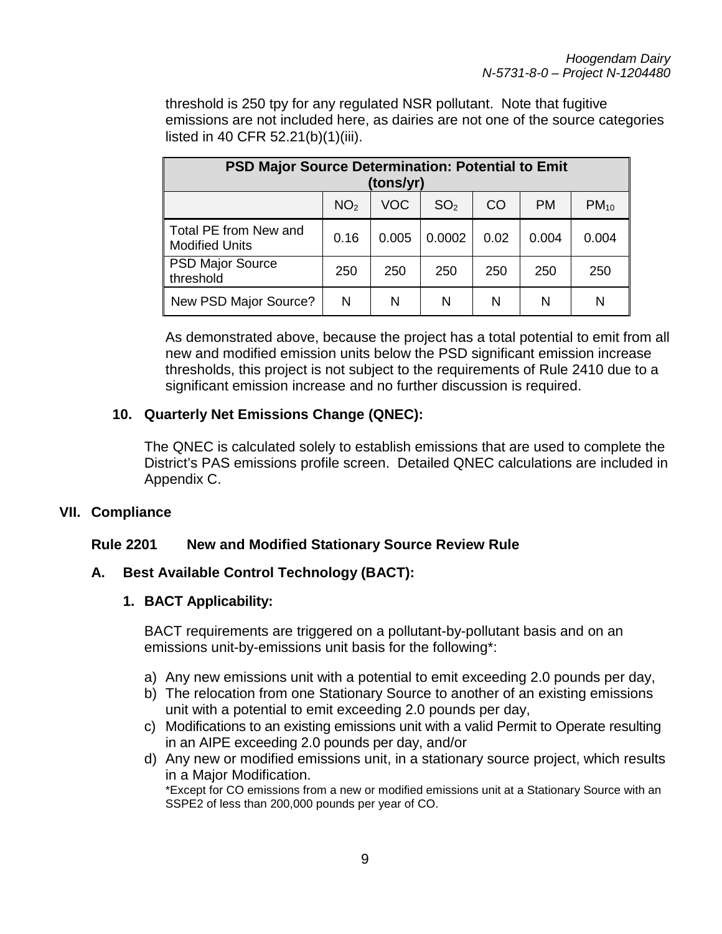threshold is 250 tpy for any regulated NSR pollutant. Note that fugitive emissions are not included here, as dairies are not one of the source categories listed in 40 CFR 52.21(b)(1)(iii).

| <b>PSD Major Source Determination: Potential to Emit</b><br>(tons/yr) |                 |       |                 |                 |       |           |  |  |
|-----------------------------------------------------------------------|-----------------|-------|-----------------|-----------------|-------|-----------|--|--|
|                                                                       | NO <sub>2</sub> | VOC   | SO <sub>2</sub> | CO <sub>1</sub> | PM    | $PM_{10}$ |  |  |
| Total PE from New and<br><b>Modified Units</b>                        | 0.16            | 0.005 | 0.0002          | 0.02            | 0.004 | 0.004     |  |  |
| <b>PSD Major Source</b><br>threshold                                  | 250             | 250   | 250             | 250             | 250   | 250       |  |  |
| New PSD Major Source?                                                 | N               | N     | N               | N               | N     | N         |  |  |

As demonstrated above, because the project has a total potential to emit from all new and modified emission units below the PSD significant emission increase thresholds, this project is not subject to the requirements of Rule 2410 due to a significant emission increase and no further discussion is required.

#### **10. Quarterly Net Emissions Change (QNEC):**

The QNEC is calculated solely to establish emissions that are used to complete the District's PAS emissions profile screen. Detailed QNEC calculations are included in Appendix C.

#### **VII. Compliance**

#### **Rule 2201 New and Modified Stationary Source Review Rule**

#### **A. Best Available Control Technology (BACT):**

#### **1. BACT Applicability:**

BACT requirements are triggered on a pollutant-by-pollutant basis and on an emissions unit-by-emissions unit basis for the following\*:

- a) Any new emissions unit with a potential to emit exceeding 2.0 pounds per day,
- b) The relocation from one Stationary Source to another of an existing emissions unit with a potential to emit exceeding 2.0 pounds per day,
- c) Modifications to an existing emissions unit with a valid Permit to Operate resulting in an AIPE exceeding 2.0 pounds per day, and/or
- d) Any new or modified emissions unit, in a stationary source project, which results in a Major Modification. \*Except for CO emissions from a new or modified emissions unit at a Stationary Source with an SSPE2 of less than 200,000 pounds per year of CO.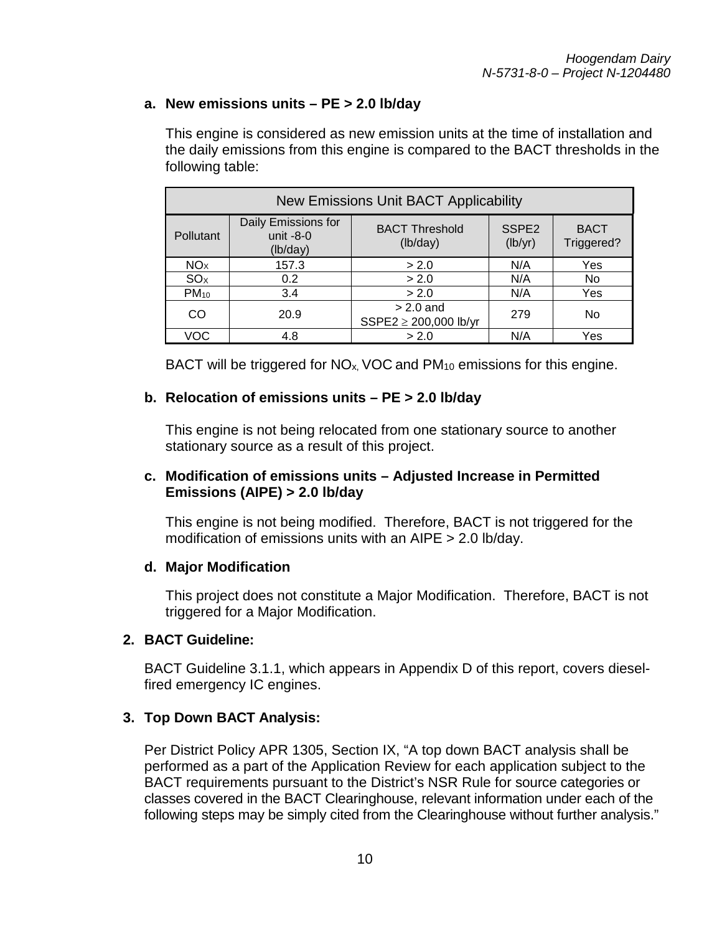#### **a. New emissions units – PE > 2.0 lb/day**

This engine is considered as new emission units at the time of installation and the daily emissions from this engine is compared to the BACT thresholds in the following table:

| <b>New Emissions Unit BACT Applicability</b> |                                                |                                      |                              |                           |  |
|----------------------------------------------|------------------------------------------------|--------------------------------------|------------------------------|---------------------------|--|
| Pollutant                                    | Daily Emissions for<br>unit $-8-0$<br>(lb/day) | <b>BACT Threshold</b><br>(lb/day)    | SSPE <sub>2</sub><br>(lb/yr) | <b>BACT</b><br>Triggered? |  |
| NO <sub>X</sub>                              | 157.3                                          | > 2.0                                | N/A                          | Yes                       |  |
| SO <sub>X</sub>                              | 0.2                                            | > 2.0                                | N/A                          | No                        |  |
| $PM_{10}$                                    | 3.4                                            | > 2.0                                | N/A                          | Yes                       |  |
| CO                                           | 20.9                                           | $> 2.0$ and<br>SSPE2 ≥ 200,000 lb/yr | 279                          | No                        |  |
| VOC                                          | 4.8                                            | > 2.0                                | N/A                          | Yes                       |  |

BACT will be triggered for  $NO<sub>x</sub>$ , VOC and  $PM<sub>10</sub>$  emissions for this engine.

#### **b. Relocation of emissions units – PE > 2.0 lb/day**

This engine is not being relocated from one stationary source to another stationary source as a result of this project.

#### **c. Modification of emissions units – Adjusted Increase in Permitted Emissions (AIPE) > 2.0 lb/day**

This engine is not being modified. Therefore, BACT is not triggered for the modification of emissions units with an AIPE > 2.0 lb/day.

#### **d. Major Modification**

This project does not constitute a Major Modification. Therefore, BACT is not triggered for a Major Modification.

#### **2. BACT Guideline:**

BACT Guideline 3.1.1, which appears in Appendix D of this report, covers dieselfired emergency IC engines.

#### **3. Top Down BACT Analysis:**

Per District Policy APR 1305, Section IX, "A top down BACT analysis shall be performed as a part of the Application Review for each application subject to the BACT requirements pursuant to the District's NSR Rule for source categories or classes covered in the BACT Clearinghouse, relevant information under each of the following steps may be simply cited from the Clearinghouse without further analysis."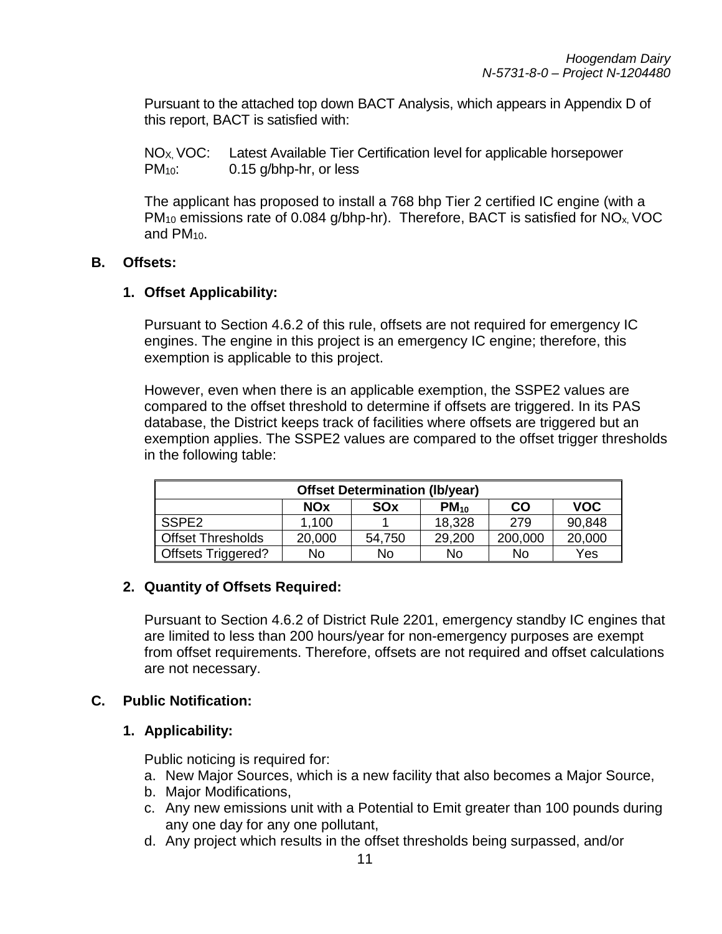Pursuant to the attached top down BACT Analysis, which appears in Appendix D of this report, BACT is satisfied with:

NO<sub>X</sub>, VOC: Latest Available Tier Certification level for applicable horsepower PM<sub>10</sub>: 0.15 g/bhp-hr, or less

The applicant has proposed to install a 768 bhp Tier 2 certified IC engine (with a PM<sub>10</sub> emissions rate of 0.084 g/bhp-hr). Therefore, BACT is satisfied for NO<sub>x</sub>, VOC and PM<sub>10</sub>.

#### **B. Offsets:**

#### **1. Offset Applicability:**

Pursuant to Section 4.6.2 of this rule, offsets are not required for emergency IC engines. The engine in this project is an emergency IC engine; therefore, this exemption is applicable to this project.

However, even when there is an applicable exemption, the SSPE2 values are compared to the offset threshold to determine if offsets are triggered. In its PAS database, the District keeps track of facilities where offsets are triggered but an exemption applies. The SSPE2 values are compared to the offset trigger thresholds in the following table:

| <b>Offset Determination (Ib/year)</b>                     |        |        |        |         |        |  |
|-----------------------------------------------------------|--------|--------|--------|---------|--------|--|
| <b>VOC</b><br>$PM_{10}$<br><b>NOx</b><br>CO<br><b>SOx</b> |        |        |        |         |        |  |
| SSPE <sub>2</sub>                                         | 1,100  |        | 18,328 | 279     | 90,848 |  |
| <b>Offset Thresholds</b>                                  | 20,000 | 54,750 | 29,200 | 200,000 | 20,000 |  |
| <b>Offsets Triggered?</b><br>Yes<br>No<br>No.<br>No<br>No |        |        |        |         |        |  |

#### **2. Quantity of Offsets Required:**

Pursuant to Section 4.6.2 of District Rule 2201, emergency standby IC engines that are limited to less than 200 hours/year for non-emergency purposes are exempt from offset requirements. Therefore, offsets are not required and offset calculations are not necessary.

#### **C. Public Notification:**

#### **1. Applicability:**

Public noticing is required for:

- a. New Major Sources, which is a new facility that also becomes a Major Source,
- b. Major Modifications,
- c. Any new emissions unit with a Potential to Emit greater than 100 pounds during any one day for any one pollutant,
- d. Any project which results in the offset thresholds being surpassed, and/or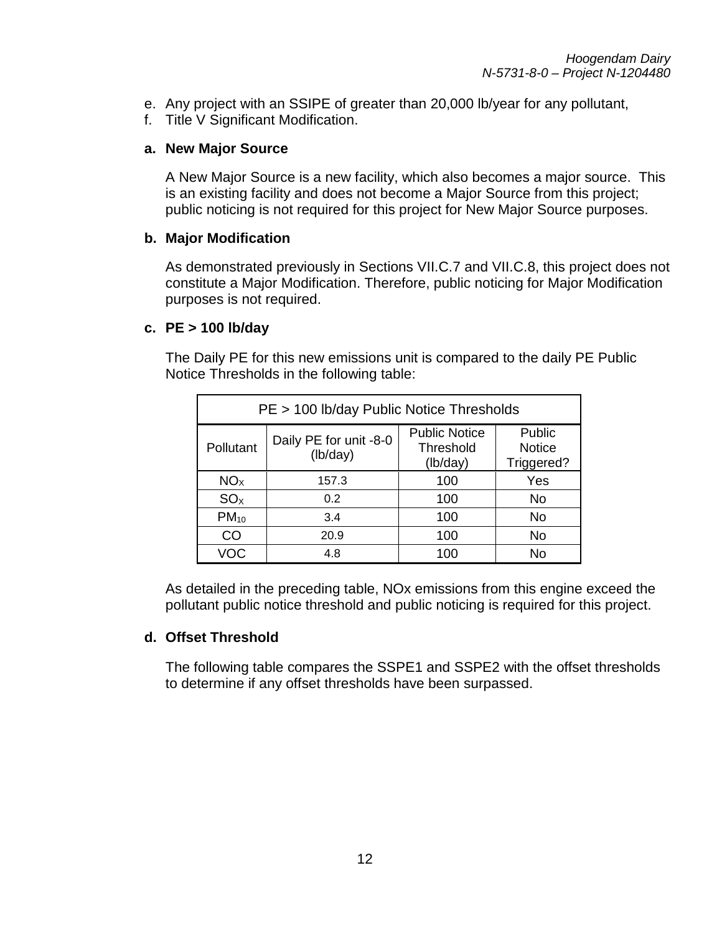- e. Any project with an SSIPE of greater than 20,000 lb/year for any pollutant,
- f. Title V Significant Modification.

#### **a. New Major Source**

A New Major Source is a new facility, which also becomes a major source. This is an existing facility and does not become a Major Source from this project; public noticing is not required for this project for New Major Source purposes.

#### **b. Major Modification**

As demonstrated previously in Sections VII.C.7 and VII.C.8, this project does not constitute a Major Modification. Therefore, public noticing for Major Modification purposes is not required.

#### **c. PE > 100 lb/day**

The Daily PE for this new emissions unit is compared to the daily PE Public Notice Thresholds in the following table:

| PE > 100 lb/day Public Notice Thresholds |                                    |                                               |                                       |  |  |
|------------------------------------------|------------------------------------|-----------------------------------------------|---------------------------------------|--|--|
| Pollutant                                | Daily PE for unit -8-0<br>(lb/day) | <b>Public Notice</b><br>Threshold<br>(lb/day) | Public<br><b>Notice</b><br>Triggered? |  |  |
| NO <sub>x</sub>                          | 157.3                              | 100                                           | Yes                                   |  |  |
| SO <sub>x</sub>                          | 0.2                                | 100                                           | <b>No</b>                             |  |  |
| $PM_{10}$                                | 3.4                                | 100                                           | <b>No</b>                             |  |  |
| <b>CO</b>                                | 20.9                               | 100                                           | <b>No</b>                             |  |  |
| VOC                                      | 4.8                                | 100                                           | <b>No</b>                             |  |  |

As detailed in the preceding table, NOx emissions from this engine exceed the pollutant public notice threshold and public noticing is required for this project.

#### **d. Offset Threshold**

The following table compares the SSPE1 and SSPE2 with the offset thresholds to determine if any offset thresholds have been surpassed.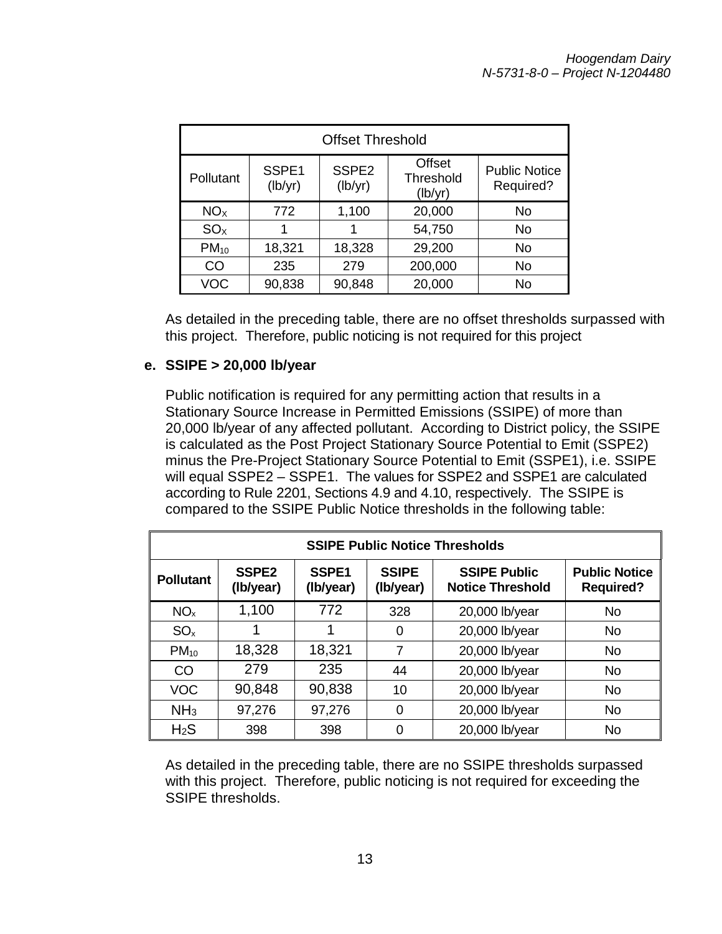| <b>Offset Threshold</b> |                  |                              |                                       |                                   |  |  |
|-------------------------|------------------|------------------------------|---------------------------------------|-----------------------------------|--|--|
| Pollutant               | SSPE1<br>(lb/yr) | SSPE <sub>2</sub><br>(lb/yr) | <b>Offset</b><br>Threshold<br>(lb/yr) | <b>Public Notice</b><br>Required? |  |  |
| NO <sub>x</sub>         | 772              | 1,100                        | 20,000                                | No                                |  |  |
| SO <sub>x</sub>         |                  |                              | 54,750                                | No                                |  |  |
| $PM_{10}$               | 18,321           | 18,328                       | 29,200                                | <b>No</b>                         |  |  |
| CO                      | 235              | 279                          | 200,000                               | No                                |  |  |
| <b>VOC</b>              | 90,838           | 90,848                       | 20,000                                | <b>No</b>                         |  |  |

As detailed in the preceding table, there are no offset thresholds surpassed with this project. Therefore, public noticing is not required for this project

#### **e. SSIPE > 20,000 lb/year**

Public notification is required for any permitting action that results in a Stationary Source Increase in Permitted Emissions (SSIPE) of more than 20,000 lb/year of any affected pollutant. According to District policy, the SSIPE is calculated as the Post Project Stationary Source Potential to Emit (SSPE2) minus the Pre-Project Stationary Source Potential to Emit (SSPE1), i.e. SSIPE will equal SSPE2 – SSPE1. The values for SSPE2 and SSPE1 are calculated according to Rule 2201, Sections 4.9 and 4.10, respectively. The SSIPE is compared to the SSIPE Public Notice thresholds in the following table:

| <b>SSIPE Public Notice Thresholds</b> |                                |                                |                           |                                                |                                          |  |
|---------------------------------------|--------------------------------|--------------------------------|---------------------------|------------------------------------------------|------------------------------------------|--|
| <b>Pollutant</b>                      | SSPE <sub>2</sub><br>(Ib/year) | SSPE <sub>1</sub><br>(Ib/year) | <b>SSIPE</b><br>(Ib/year) | <b>SSIPE Public</b><br><b>Notice Threshold</b> | <b>Public Notice</b><br><b>Required?</b> |  |
| NO <sub>x</sub>                       | 1,100                          | 772                            | 328                       | 20,000 lb/year                                 | <b>No</b>                                |  |
| SO <sub>x</sub>                       |                                | 1                              | 0                         | 20,000 lb/year                                 | <b>No</b>                                |  |
| $PM_{10}$                             | 18,328                         | 18,321                         | 7                         | 20,000 lb/year                                 | <b>No</b>                                |  |
| CO                                    | 279                            | 235                            | 44                        | 20,000 lb/year                                 | <b>No</b>                                |  |
| <b>VOC</b>                            | 90,848                         | 90,838                         | 10                        | 20,000 lb/year                                 | <b>No</b>                                |  |
| NH <sub>3</sub>                       | 97,276                         | 97,276                         | 0                         | 20,000 lb/year                                 | <b>No</b>                                |  |
| H <sub>2</sub> S                      | 398                            | 398                            | 0                         | 20,000 lb/year                                 | No                                       |  |

As detailed in the preceding table, there are no SSIPE thresholds surpassed with this project. Therefore, public noticing is not required for exceeding the SSIPE thresholds.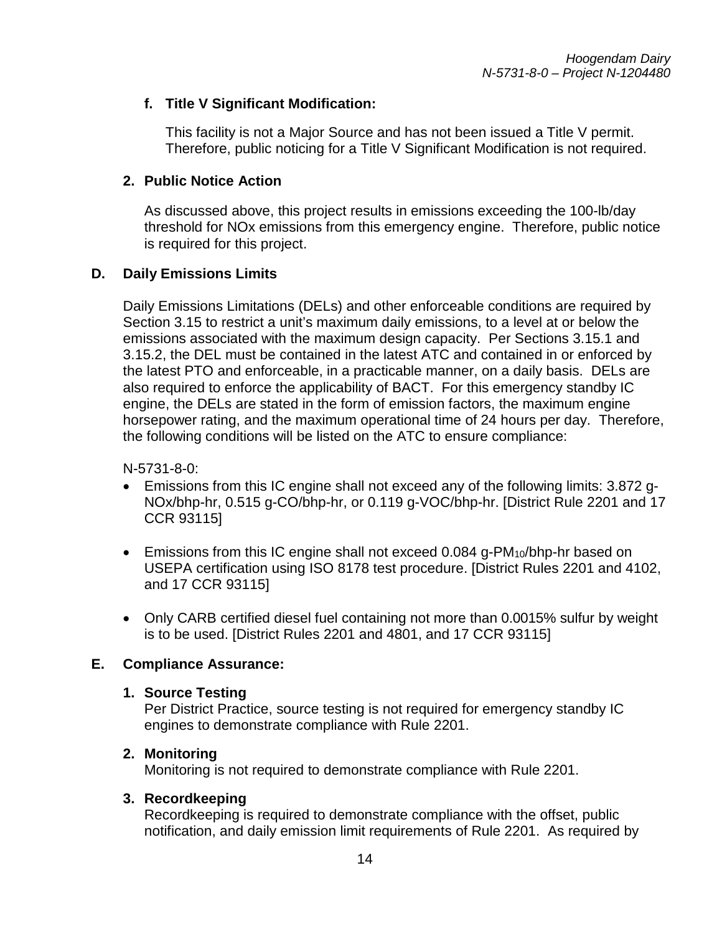### **f. Title V Significant Modification:**

This facility is not a Major Source and has not been issued a Title V permit. Therefore, public noticing for a Title V Significant Modification is not required.

### **2. Public Notice Action**

As discussed above, this project results in emissions exceeding the 100-lb/day threshold for NOx emissions from this emergency engine. Therefore, public notice is required for this project.

### **D. Daily Emissions Limits**

Daily Emissions Limitations (DELs) and other enforceable conditions are required by Section 3.15 to restrict a unit's maximum daily emissions, to a level at or below the emissions associated with the maximum design capacity. Per Sections 3.15.1 and 3.15.2, the DEL must be contained in the latest ATC and contained in or enforced by the latest PTO and enforceable, in a practicable manner, on a daily basis. DELs are also required to enforce the applicability of BACT. For this emergency standby IC engine, the DELs are stated in the form of emission factors, the maximum engine horsepower rating, and the maximum operational time of 24 hours per day. Therefore, the following conditions will be listed on the ATC to ensure compliance:

N-5731-8-0:

- Emissions from this IC engine shall not exceed any of the following limits: 3.872 g-NOx/bhp-hr, 0.515 g-CO/bhp-hr, or 0.119 g-VOC/bhp-hr. [District Rule 2201 and 17 CCR 93115]
- Emissions from this IC engine shall not exceed 0.084 g-PM<sub>10</sub>/bhp-hr based on USEPA certification using ISO 8178 test procedure. [District Rules 2201 and 4102, and 17 CCR 93115]
- Only CARB certified diesel fuel containing not more than 0.0015% sulfur by weight is to be used. [District Rules 2201 and 4801, and 17 CCR 93115]

#### **E. Compliance Assurance:**

#### **1. Source Testing**

Per District Practice, source testing is not required for emergency standby IC engines to demonstrate compliance with Rule 2201.

#### **2. Monitoring**

Monitoring is not required to demonstrate compliance with Rule 2201.

#### **3. Recordkeeping**

Recordkeeping is required to demonstrate compliance with the offset, public notification, and daily emission limit requirements of Rule 2201. As required by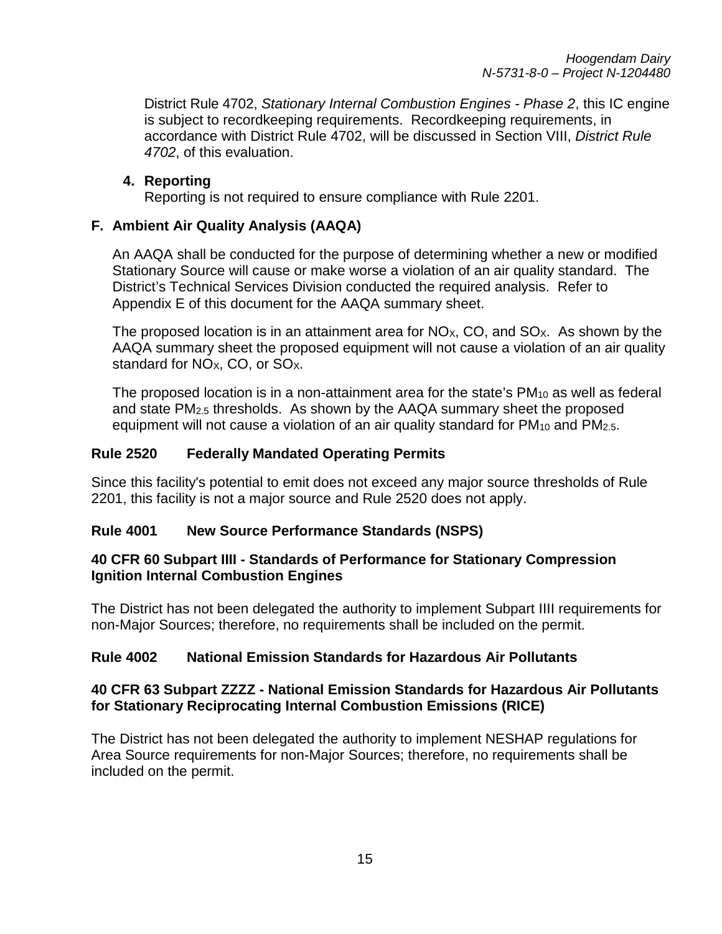*Hoogendam Dairy N-5731-8-0 – Project N-1204480*

District Rule 4702, *Stationary Internal Combustion Engines - Phase 2*, this IC engine is subject to recordkeeping requirements. Recordkeeping requirements, in accordance with District Rule 4702, will be discussed in Section VIII, *District Rule 4702*, of this evaluation.

#### **4. Reporting**

Reporting is not required to ensure compliance with Rule 2201.

### **F. Ambient Air Quality Analysis (AAQA)**

An AAQA shall be conducted for the purpose of determining whether a new or modified Stationary Source will cause or make worse a violation of an air quality standard. The District's Technical Services Division conducted the required analysis. Refer to Appendix E of this document for the AAQA summary sheet.

The proposed location is in an attainment area for  $N_{\text{Ox}}$ , CO, and SO<sub>x</sub>. As shown by the AAQA summary sheet the proposed equipment will not cause a violation of an air quality standard for  $NO<sub>X</sub>$ , CO, or  $SO<sub>X</sub>$ .

The proposed location is in a non-attainment area for the state's  $PM_{10}$  as well as federal and state PM2.5 thresholds. As shown by the AAQA summary sheet the proposed equipment will not cause a violation of an air quality standard for  $PM_{10}$  and  $PM_{2.5}$ .

#### **Rule 2520 Federally Mandated Operating Permits**

Since this facility's potential to emit does not exceed any major source thresholds of Rule 2201, this facility is not a major source and Rule 2520 does not apply.

#### **Rule 4001 New Source Performance Standards (NSPS)**

### **40 CFR 60 Subpart IIII - Standards of Performance for Stationary Compression Ignition Internal Combustion Engines**

The District has not been delegated the authority to implement Subpart IIII requirements for non-Major Sources; therefore, no requirements shall be included on the permit.

# **Rule 4002 National Emission Standards for Hazardous Air Pollutants**

### **40 CFR 63 Subpart ZZZZ - National Emission Standards for Hazardous Air Pollutants for Stationary Reciprocating Internal Combustion Emissions (RICE)**

The District has not been delegated the authority to implement NESHAP regulations for Area Source requirements for non-Major Sources; therefore, no requirements shall be included on the permit.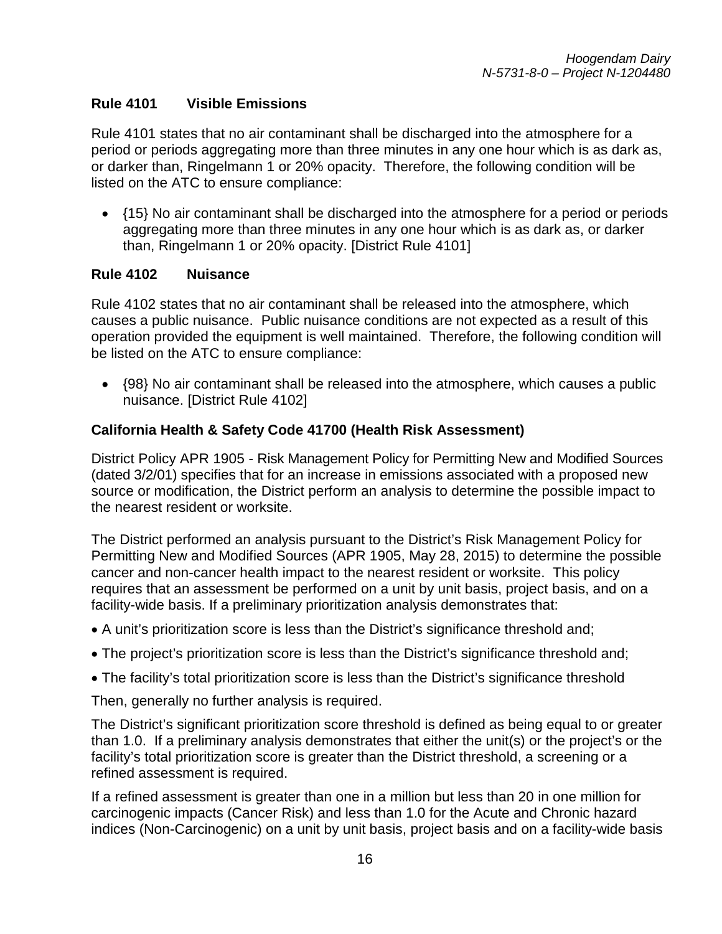### **Rule 4101 Visible Emissions**

Rule 4101 states that no air contaminant shall be discharged into the atmosphere for a period or periods aggregating more than three minutes in any one hour which is as dark as, or darker than, Ringelmann 1 or 20% opacity. Therefore, the following condition will be listed on the ATC to ensure compliance:

• {15} No air contaminant shall be discharged into the atmosphere for a period or periods aggregating more than three minutes in any one hour which is as dark as, or darker than, Ringelmann 1 or 20% opacity. [District Rule 4101]

#### **Rule 4102 Nuisance**

Rule 4102 states that no air contaminant shall be released into the atmosphere, which causes a public nuisance. Public nuisance conditions are not expected as a result of this operation provided the equipment is well maintained. Therefore, the following condition will be listed on the ATC to ensure compliance:

• {98} No air contaminant shall be released into the atmosphere, which causes a public nuisance. [District Rule 4102]

#### **California Health & Safety Code 41700 (Health Risk Assessment)**

District Policy APR 1905 - Risk Management Policy for Permitting New and Modified Sources (dated 3/2/01) specifies that for an increase in emissions associated with a proposed new source or modification, the District perform an analysis to determine the possible impact to the nearest resident or worksite.

The District performed an analysis pursuant to the District's Risk Management Policy for Permitting New and Modified Sources (APR 1905, May 28, 2015) to determine the possible cancer and non-cancer health impact to the nearest resident or worksite. This policy requires that an assessment be performed on a unit by unit basis, project basis, and on a facility-wide basis. If a preliminary prioritization analysis demonstrates that:

- A unit's prioritization score is less than the District's significance threshold and;
- The project's prioritization score is less than the District's significance threshold and;
- The facility's total prioritization score is less than the District's significance threshold

Then, generally no further analysis is required.

The District's significant prioritization score threshold is defined as being equal to or greater than 1.0. If a preliminary analysis demonstrates that either the unit(s) or the project's or the facility's total prioritization score is greater than the District threshold, a screening or a refined assessment is required.

If a refined assessment is greater than one in a million but less than 20 in one million for carcinogenic impacts (Cancer Risk) and less than 1.0 for the Acute and Chronic hazard indices (Non-Carcinogenic) on a unit by unit basis, project basis and on a facility-wide basis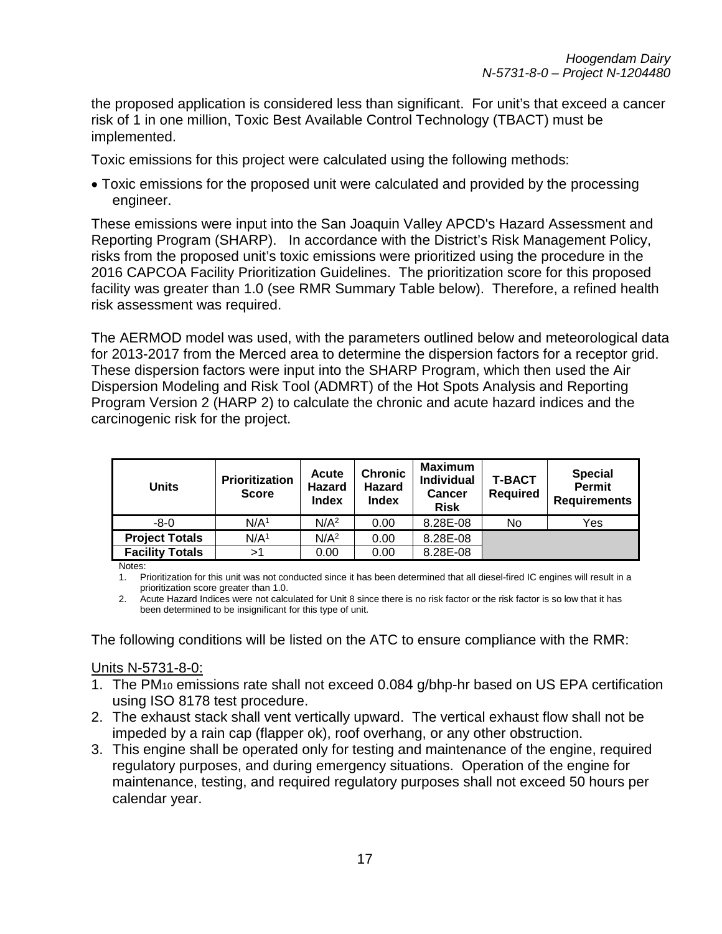the proposed application is considered less than significant. For unit's that exceed a cancer risk of 1 in one million, Toxic Best Available Control Technology (TBACT) must be implemented.

Toxic emissions for this project were calculated using the following methods:

• Toxic emissions for the proposed unit were calculated and provided by the processing engineer.

These emissions were input into the San Joaquin Valley APCD's Hazard Assessment and Reporting Program (SHARP). In accordance with the District's Risk Management Policy, risks from the proposed unit's toxic emissions were prioritized using the procedure in the 2016 CAPCOA Facility Prioritization Guidelines. The prioritization score for this proposed facility was greater than 1.0 (see RMR Summary Table below). Therefore, a refined health risk assessment was required.

The AERMOD model was used, with the parameters outlined below and meteorological data for 2013-2017 from the Merced area to determine the dispersion factors for a receptor grid. These dispersion factors were input into the SHARP Program, which then used the Air Dispersion Modeling and Risk Tool (ADMRT) of the Hot Spots Analysis and Reporting Program Version 2 (HARP 2) to calculate the chronic and acute hazard indices and the carcinogenic risk for the project.

| <b>Units</b>           | Prioritization<br><b>Score</b> | <b>Acute</b><br>Hazard<br><b>Index</b> | <b>Chronic</b><br><b>Hazard</b><br><b>Index</b> | <b>Maximum</b><br><b>Individual</b><br><b>Cancer</b><br><b>Risk</b> | T-BACT<br><b>Required</b> | <b>Special</b><br><b>Permit</b><br><b>Requirements</b> |
|------------------------|--------------------------------|----------------------------------------|-------------------------------------------------|---------------------------------------------------------------------|---------------------------|--------------------------------------------------------|
| -8-0                   | N/A <sup>1</sup>               | N/A <sup>2</sup>                       | 0.00                                            | 8.28E-08                                                            | No                        | Yes                                                    |
| <b>Project Totals</b>  | N/A <sup>1</sup>               | N/A <sup>2</sup>                       | 0.00                                            | 8.28E-08                                                            |                           |                                                        |
| <b>Facility Totals</b> | >1                             | 0.00                                   | 0.00                                            | 8.28E-08                                                            |                           |                                                        |

Notes:

1. Prioritization for this unit was not conducted since it has been determined that all diesel-fired IC engines will result in a prioritization score greater than 1.0.

2. Acute Hazard Indices were not calculated for Unit 8 since there is no risk factor or the risk factor is so low that it has been determined to be insignificant for this type of unit.

The following conditions will be listed on the ATC to ensure compliance with the RMR:

#### Units N-5731-8-0:

- 1. The PM10 emissions rate shall not exceed 0.084 g/bhp-hr based on US EPA certification using ISO 8178 test procedure.
- 2. The exhaust stack shall vent vertically upward. The vertical exhaust flow shall not be impeded by a rain cap (flapper ok), roof overhang, or any other obstruction.
- 3. This engine shall be operated only for testing and maintenance of the engine, required regulatory purposes, and during emergency situations. Operation of the engine for maintenance, testing, and required regulatory purposes shall not exceed 50 hours per calendar year.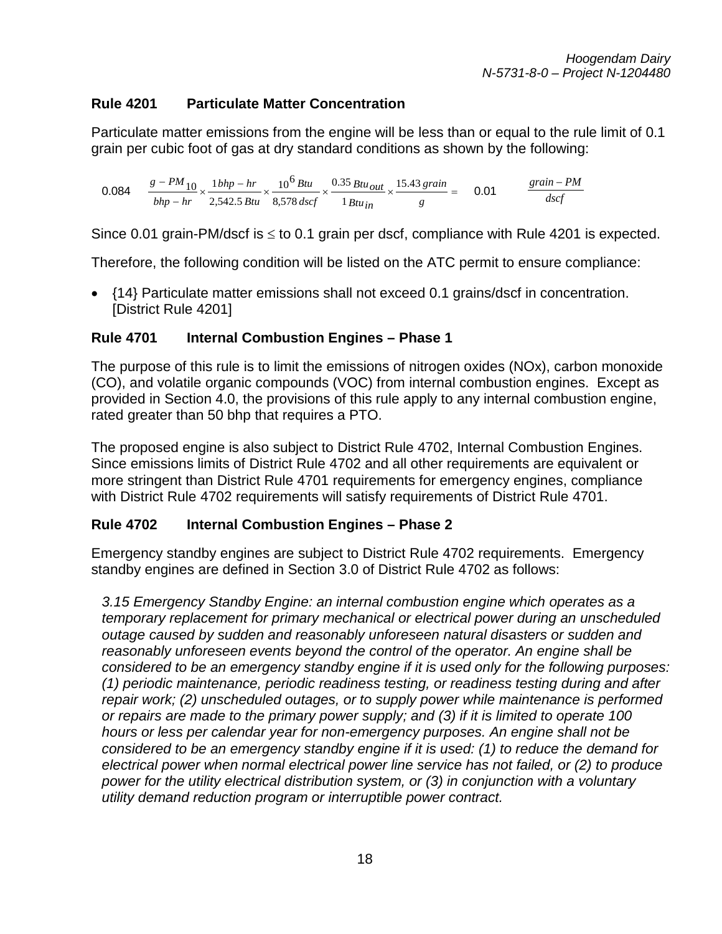# **Rule 4201 Particulate Matter Concentration**

Particulate matter emissions from the engine will be less than or equal to the rule limit of 0.1 grain per cubic foot of gas at dry standard conditions as shown by the following:

0.084  $\frac{g - PM_{10}}{bhp - hr} \times \frac{1 \, bhp - hr}{2,542.5 \, Btu} \times \frac{10^6 \, Btu}{8,578 \, dscf} \times \frac{0.35 \, Btu_{out}}{1 \, Btu_{in}} \times \frac{15.43 \, grain}{g} =$ *g grain Btuin Btuout dscf Btu Btu bhp hr bhp hr*  $g - PM_{10}$  1*bhp* – *hr* 10<sup>6</sup> Btu 0.35 Btu<sub>Out</sub> 15.43 1 0.35 8,578 <sup>10</sup><sup>6</sup>  $\frac{10}{n_r} \times \frac{1 \, bhp - hr}{2,542.5 \, Btu} \times \frac{10^6 \, Btu}{8,578 \, dscf} \times \frac{0.35 \, Btu_{out}}{1 \, Btu_{in}} \times \frac{15.43 \, grain}{g} = 0.01$   $\frac{grain - PM}{dscf}$ 

Since 0.01 grain-PM/dscf is  $\leq$  to 0.1 grain per dscf, compliance with Rule 4201 is expected.

Therefore, the following condition will be listed on the ATC permit to ensure compliance:

• {14} Particulate matter emissions shall not exceed 0.1 grains/dscf in concentration. [District Rule 4201]

### **Rule 4701 Internal Combustion Engines – Phase 1**

The purpose of this rule is to limit the emissions of nitrogen oxides (NOx), carbon monoxide (CO), and volatile organic compounds (VOC) from internal combustion engines. Except as provided in Section 4.0, the provisions of this rule apply to any internal combustion engine, rated greater than 50 bhp that requires a PTO.

The proposed engine is also subject to District Rule 4702, Internal Combustion Engines. Since emissions limits of District Rule 4702 and all other requirements are equivalent or more stringent than District Rule 4701 requirements for emergency engines, compliance with District Rule 4702 requirements will satisfy requirements of District Rule 4701.

#### **Rule 4702 Internal Combustion Engines – Phase 2**

Emergency standby engines are subject to District Rule 4702 requirements. Emergency standby engines are defined in Section 3.0 of District Rule 4702 as follows:

*3.15 Emergency Standby Engine: an internal combustion engine which operates as a temporary replacement for primary mechanical or electrical power during an unscheduled outage caused by sudden and reasonably unforeseen natural disasters or sudden and reasonably unforeseen events beyond the control of the operator. An engine shall be considered to be an emergency standby engine if it is used only for the following purposes: (1) periodic maintenance, periodic readiness testing, or readiness testing during and after repair work; (2) unscheduled outages, or to supply power while maintenance is performed or repairs are made to the primary power supply; and (3) if it is limited to operate 100 hours or less per calendar year for non-emergency purposes. An engine shall not be considered to be an emergency standby engine if it is used: (1) to reduce the demand for electrical power when normal electrical power line service has not failed, or (2) to produce power for the utility electrical distribution system, or (3) in conjunction with a voluntary utility demand reduction program or interruptible power contract.*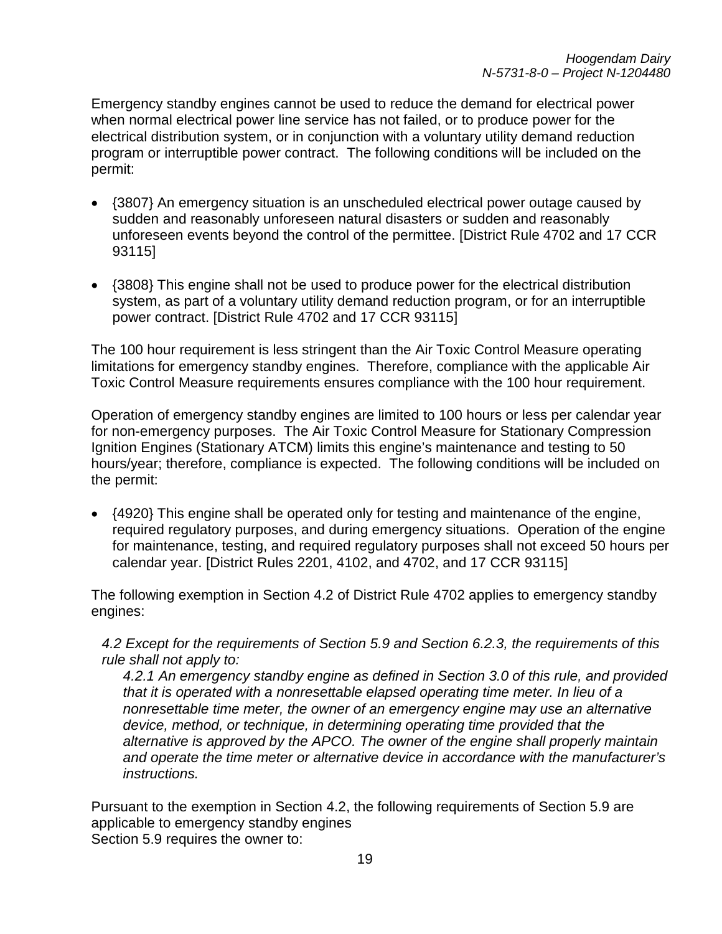Emergency standby engines cannot be used to reduce the demand for electrical power when normal electrical power line service has not failed, or to produce power for the electrical distribution system, or in conjunction with a voluntary utility demand reduction program or interruptible power contract. The following conditions will be included on the permit:

- {3807} An emergency situation is an unscheduled electrical power outage caused by sudden and reasonably unforeseen natural disasters or sudden and reasonably unforeseen events beyond the control of the permittee. [District Rule 4702 and 17 CCR 93115]
- {3808} This engine shall not be used to produce power for the electrical distribution system, as part of a voluntary utility demand reduction program, or for an interruptible power contract. [District Rule 4702 and 17 CCR 93115]

The 100 hour requirement is less stringent than the Air Toxic Control Measure operating limitations for emergency standby engines. Therefore, compliance with the applicable Air Toxic Control Measure requirements ensures compliance with the 100 hour requirement.

Operation of emergency standby engines are limited to 100 hours or less per calendar year for non-emergency purposes. The Air Toxic Control Measure for Stationary Compression Ignition Engines (Stationary ATCM) limits this engine's maintenance and testing to 50 hours/year; therefore, compliance is expected. The following conditions will be included on the permit:

• {4920} This engine shall be operated only for testing and maintenance of the engine, required regulatory purposes, and during emergency situations. Operation of the engine for maintenance, testing, and required regulatory purposes shall not exceed 50 hours per calendar year. [District Rules 2201, 4102, and 4702, and 17 CCR 93115]

The following exemption in Section 4.2 of District Rule 4702 applies to emergency standby engines:

*4.2 Except for the requirements of Section 5.9 and Section 6.2.3, the requirements of this rule shall not apply to:*

*4.2.1 An emergency standby engine as defined in Section 3.0 of this rule, and provided that it is operated with a nonresettable elapsed operating time meter. In lieu of a nonresettable time meter, the owner of an emergency engine may use an alternative device, method, or technique, in determining operating time provided that the alternative is approved by the APCO. The owner of the engine shall properly maintain and operate the time meter or alternative device in accordance with the manufacturer's instructions.*

Pursuant to the exemption in Section 4.2, the following requirements of Section 5.9 are applicable to emergency standby engines Section 5.9 requires the owner to: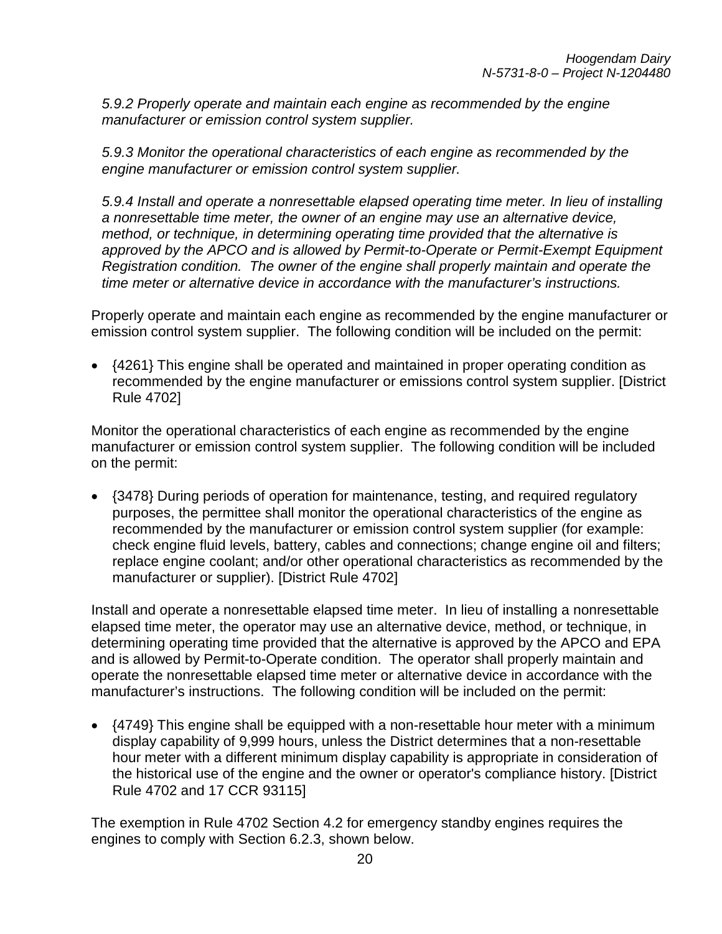*5.9.2 Properly operate and maintain each engine as recommended by the engine manufacturer or emission control system supplier.*

*5.9.3 Monitor the operational characteristics of each engine as recommended by the engine manufacturer or emission control system supplier.*

*5.9.4 Install and operate a nonresettable elapsed operating time meter. In lieu of installing a nonresettable time meter, the owner of an engine may use an alternative device, method, or technique, in determining operating time provided that the alternative is approved by the APCO and is allowed by Permit-to-Operate or Permit-Exempt Equipment Registration condition. The owner of the engine shall properly maintain and operate the time meter or alternative device in accordance with the manufacturer's instructions.*

Properly operate and maintain each engine as recommended by the engine manufacturer or emission control system supplier. The following condition will be included on the permit:

• {4261} This engine shall be operated and maintained in proper operating condition as recommended by the engine manufacturer or emissions control system supplier. [District Rule 4702]

Monitor the operational characteristics of each engine as recommended by the engine manufacturer or emission control system supplier. The following condition will be included on the permit:

•  $\{3478\}$  During periods of operation for maintenance, testing, and required regulatory purposes, the permittee shall monitor the operational characteristics of the engine as recommended by the manufacturer or emission control system supplier (for example: check engine fluid levels, battery, cables and connections; change engine oil and filters; replace engine coolant; and/or other operational characteristics as recommended by the manufacturer or supplier). [District Rule 4702]

Install and operate a nonresettable elapsed time meter. In lieu of installing a nonresettable elapsed time meter, the operator may use an alternative device, method, or technique, in determining operating time provided that the alternative is approved by the APCO and EPA and is allowed by Permit-to-Operate condition. The operator shall properly maintain and operate the nonresettable elapsed time meter or alternative device in accordance with the manufacturer's instructions. The following condition will be included on the permit:

• {4749} This engine shall be equipped with a non-resettable hour meter with a minimum display capability of 9,999 hours, unless the District determines that a non-resettable hour meter with a different minimum display capability is appropriate in consideration of the historical use of the engine and the owner or operator's compliance history. [District Rule 4702 and 17 CCR 93115]

The exemption in Rule 4702 Section 4.2 for emergency standby engines requires the engines to comply with Section 6.2.3, shown below.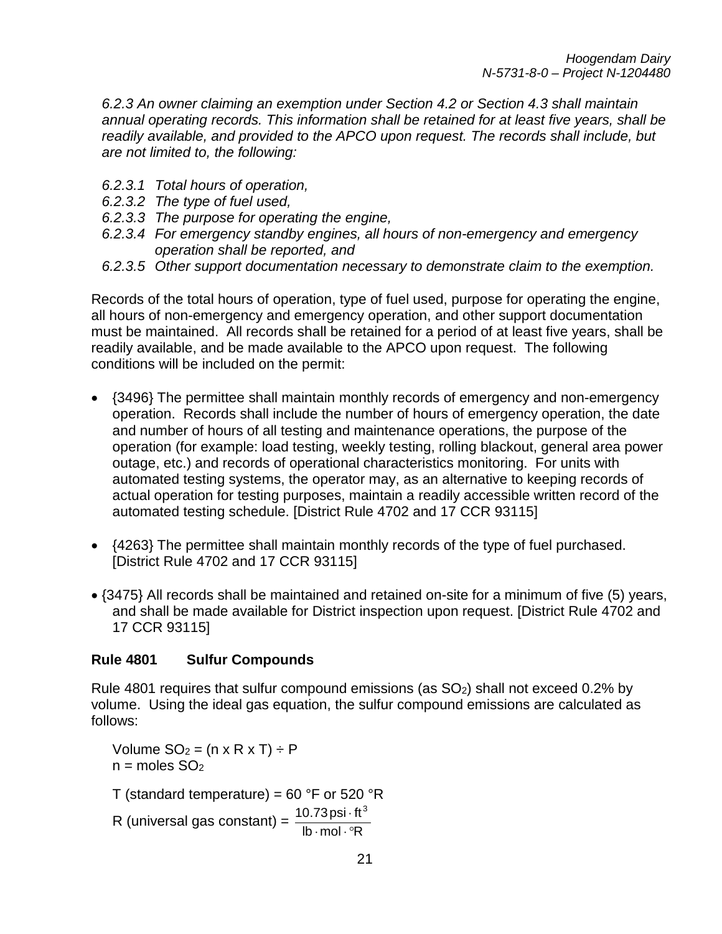*6.2.3 An owner claiming an exemption under Section 4.2 or Section 4.3 shall maintain annual operating records. This information shall be retained for at least five years, shall be readily available, and provided to the APCO upon request. The records shall include, but are not limited to, the following:*

- *6.2.3.1 Total hours of operation,*
- *6.2.3.2 The type of fuel used,*
- *6.2.3.3 The purpose for operating the engine,*
- *6.2.3.4 For emergency standby engines, all hours of non-emergency and emergency operation shall be reported, and*
- *6.2.3.5 Other support documentation necessary to demonstrate claim to the exemption.*

Records of the total hours of operation, type of fuel used, purpose for operating the engine, all hours of non-emergency and emergency operation, and other support documentation must be maintained. All records shall be retained for a period of at least five years, shall be readily available, and be made available to the APCO upon request. The following conditions will be included on the permit:

- {3496} The permittee shall maintain monthly records of emergency and non-emergency operation. Records shall include the number of hours of emergency operation, the date and number of hours of all testing and maintenance operations, the purpose of the operation (for example: load testing, weekly testing, rolling blackout, general area power outage, etc.) and records of operational characteristics monitoring. For units with automated testing systems, the operator may, as an alternative to keeping records of actual operation for testing purposes, maintain a readily accessible written record of the automated testing schedule. [District Rule 4702 and 17 CCR 93115]
- {4263} The permittee shall maintain monthly records of the type of fuel purchased. [District Rule 4702 and 17 CCR 93115]
- {3475} All records shall be maintained and retained on-site for a minimum of five (5) years, and shall be made available for District inspection upon request. [District Rule 4702 and 17 CCR 93115]

#### **Rule 4801 Sulfur Compounds**

Rule 4801 requires that sulfur compound emissions (as  $SO<sub>2</sub>$ ) shall not exceed 0.2% by volume. Using the ideal gas equation, the sulfur compound emissions are calculated as follows:

Volume  $SO_2 = (n \times R \times T) \div P$  $n =$  moles  $SO<sub>2</sub>$ T (standard temperature) = 60 °F or 520 °R R (universal gas constant) =  $\frac{10.73 \text{psi} \cdot \text{ft}^3}{\text{lb} \cdot \text{mol} \cdot ^\circ \text{R}}$  $\cdot$  mol  $\cdot$   $^{\circ}$ ⋅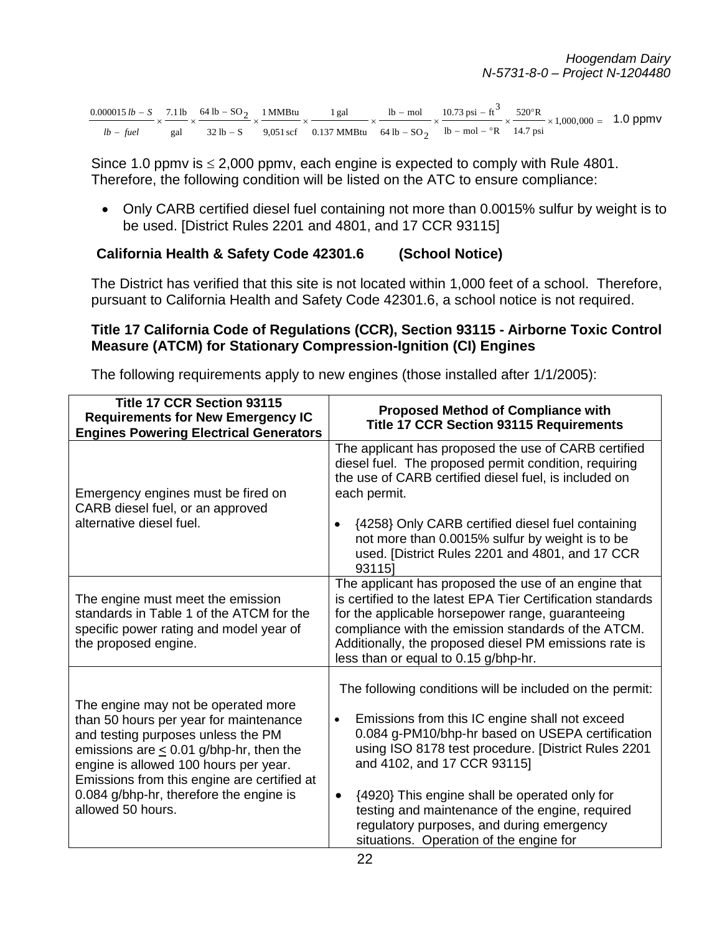|  |  |  | $\frac{0.000015 \text{ lb} - S}{2} \times \frac{7.1 \text{ lb}}{2} \times \frac{64 \text{ lb} - SO_2}{2} \times \frac{1 \text{ MMBtu}}{2} \times \frac{1 \text{ gal}}{2} \times \frac{1 \text{ lb} - \text{ mol}}{2} \times \frac{10.73 \text{ psi} - ft^3}{2} \times \frac{520 \text{°R}}{2} \times 1,000,000 = 1.0 \text{ ppmV}$ |  |  |
|--|--|--|------------------------------------------------------------------------------------------------------------------------------------------------------------------------------------------------------------------------------------------------------------------------------------------------------------------------------------|--|--|
|  |  |  | <i>lb – fuel</i> gal $32 \text{ lb} - S$ 9,051 scf 0.137 MMB tu $64 \text{ lb} - SO_2$ lb – mol – °R 14.7 psi                                                                                                                                                                                                                      |  |  |

Since 1.0 ppm is  $\leq$  2,000 ppm v, each engine is expected to comply with Rule 4801. Therefore, the following condition will be listed on the ATC to ensure compliance:

• Only CARB certified diesel fuel containing not more than 0.0015% sulfur by weight is to be used. [District Rules 2201 and 4801, and 17 CCR 93115]

### **California Health & Safety Code 42301.6 (School Notice)**

The District has verified that this site is not located within 1,000 feet of a school. Therefore, pursuant to California Health and Safety Code 42301.6, a school notice is not required.

## **Title 17 California Code of Regulations (CCR), Section 93115 - Airborne Toxic Control Measure (ATCM) for Stationary Compression-Ignition (CI) Engines**

The following requirements apply to new engines (those installed after 1/1/2005):

| Title 17 CCR Section 93115<br><b>Requirements for New Emergency IC</b><br><b>Engines Powering Electrical Generators</b>                                                                                                                                                                                                     | <b>Proposed Method of Compliance with</b><br><b>Title 17 CCR Section 93115 Requirements</b>                                                                                                                                                                                                                                                                                                                                                                                |  |  |
|-----------------------------------------------------------------------------------------------------------------------------------------------------------------------------------------------------------------------------------------------------------------------------------------------------------------------------|----------------------------------------------------------------------------------------------------------------------------------------------------------------------------------------------------------------------------------------------------------------------------------------------------------------------------------------------------------------------------------------------------------------------------------------------------------------------------|--|--|
| Emergency engines must be fired on<br>CARB diesel fuel, or an approved<br>alternative diesel fuel.                                                                                                                                                                                                                          | The applicant has proposed the use of CARB certified<br>diesel fuel. The proposed permit condition, requiring<br>the use of CARB certified diesel fuel, is included on<br>each permit.<br>{4258} Only CARB certified diesel fuel containing<br>$\bullet$<br>not more than 0.0015% sulfur by weight is to be<br>used. [District Rules 2201 and 4801, and 17 CCR<br>931151                                                                                                   |  |  |
| The engine must meet the emission<br>standards in Table 1 of the ATCM for the<br>specific power rating and model year of<br>the proposed engine.                                                                                                                                                                            | The applicant has proposed the use of an engine that<br>is certified to the latest EPA Tier Certification standards<br>for the applicable horsepower range, guaranteeing<br>compliance with the emission standards of the ATCM.<br>Additionally, the proposed diesel PM emissions rate is<br>less than or equal to 0.15 g/bhp-hr.                                                                                                                                          |  |  |
| The engine may not be operated more<br>than 50 hours per year for maintenance<br>and testing purposes unless the PM<br>emissions are $\leq$ 0.01 g/bhp-hr, then the<br>engine is allowed 100 hours per year.<br>Emissions from this engine are certified at<br>0.084 g/bhp-hr, therefore the engine is<br>allowed 50 hours. | The following conditions will be included on the permit:<br>Emissions from this IC engine shall not exceed<br>$\bullet$<br>0.084 g-PM10/bhp-hr based on USEPA certification<br>using ISO 8178 test procedure. [District Rules 2201<br>and 4102, and 17 CCR 93115]<br>{4920} This engine shall be operated only for<br>$\bullet$<br>testing and maintenance of the engine, required<br>regulatory purposes, and during emergency<br>situations. Operation of the engine for |  |  |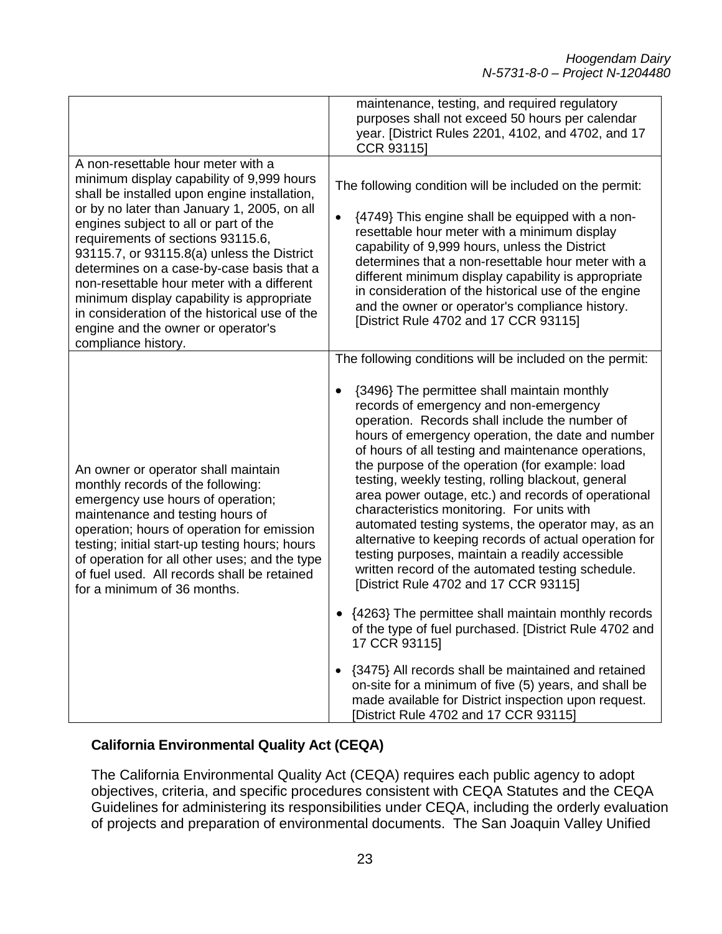|                                                                                                                                                                                                                                                                                                                                                                                                                                                                                                                                                                  | maintenance, testing, and required regulatory<br>purposes shall not exceed 50 hours per calendar<br>year. [District Rules 2201, 4102, and 4702, and 17<br>CCR 93115]                                                                                                                                                                                                                                                                                                                                                                                                                                                                                                                                                                                                                                                                                                                                                                                                                                                                                                                                                                              |
|------------------------------------------------------------------------------------------------------------------------------------------------------------------------------------------------------------------------------------------------------------------------------------------------------------------------------------------------------------------------------------------------------------------------------------------------------------------------------------------------------------------------------------------------------------------|---------------------------------------------------------------------------------------------------------------------------------------------------------------------------------------------------------------------------------------------------------------------------------------------------------------------------------------------------------------------------------------------------------------------------------------------------------------------------------------------------------------------------------------------------------------------------------------------------------------------------------------------------------------------------------------------------------------------------------------------------------------------------------------------------------------------------------------------------------------------------------------------------------------------------------------------------------------------------------------------------------------------------------------------------------------------------------------------------------------------------------------------------|
| A non-resettable hour meter with a<br>minimum display capability of 9,999 hours<br>shall be installed upon engine installation,<br>or by no later than January 1, 2005, on all<br>engines subject to all or part of the<br>requirements of sections 93115.6,<br>93115.7, or 93115.8(a) unless the District<br>determines on a case-by-case basis that a<br>non-resettable hour meter with a different<br>minimum display capability is appropriate<br>in consideration of the historical use of the<br>engine and the owner or operator's<br>compliance history. | The following condition will be included on the permit:<br>{4749} This engine shall be equipped with a non-<br>$\bullet$<br>resettable hour meter with a minimum display<br>capability of 9,999 hours, unless the District<br>determines that a non-resettable hour meter with a<br>different minimum display capability is appropriate<br>in consideration of the historical use of the engine<br>and the owner or operator's compliance history.<br>[District Rule 4702 and 17 CCR 93115]                                                                                                                                                                                                                                                                                                                                                                                                                                                                                                                                                                                                                                                       |
| An owner or operator shall maintain<br>monthly records of the following:<br>emergency use hours of operation;<br>maintenance and testing hours of<br>operation; hours of operation for emission<br>testing; initial start-up testing hours; hours<br>of operation for all other uses; and the type<br>of fuel used. All records shall be retained<br>for a minimum of 36 months.                                                                                                                                                                                 | The following conditions will be included on the permit:<br>{3496} The permittee shall maintain monthly<br>records of emergency and non-emergency<br>operation. Records shall include the number of<br>hours of emergency operation, the date and number<br>of hours of all testing and maintenance operations,<br>the purpose of the operation (for example: load<br>testing, weekly testing, rolling blackout, general<br>area power outage, etc.) and records of operational<br>characteristics monitoring. For units with<br>automated testing systems, the operator may, as an<br>alternative to keeping records of actual operation for<br>testing purposes, maintain a readily accessible<br>written record of the automated testing schedule.<br>[District Rule 4702 and 17 CCR 93115]<br>{4263} The permittee shall maintain monthly records<br>of the type of fuel purchased. [District Rule 4702 and<br>17 CCR 93115]<br>{3475} All records shall be maintained and retained<br>on-site for a minimum of five (5) years, and shall be<br>made available for District inspection upon request.<br>[District Rule 4702 and 17 CCR 93115] |

# **California Environmental Quality Act (CEQA)**

The California Environmental Quality Act (CEQA) requires each public agency to adopt objectives, criteria, and specific procedures consistent with CEQA Statutes and the CEQA Guidelines for administering its responsibilities under CEQA, including the orderly evaluation of projects and preparation of environmental documents. The San Joaquin Valley Unified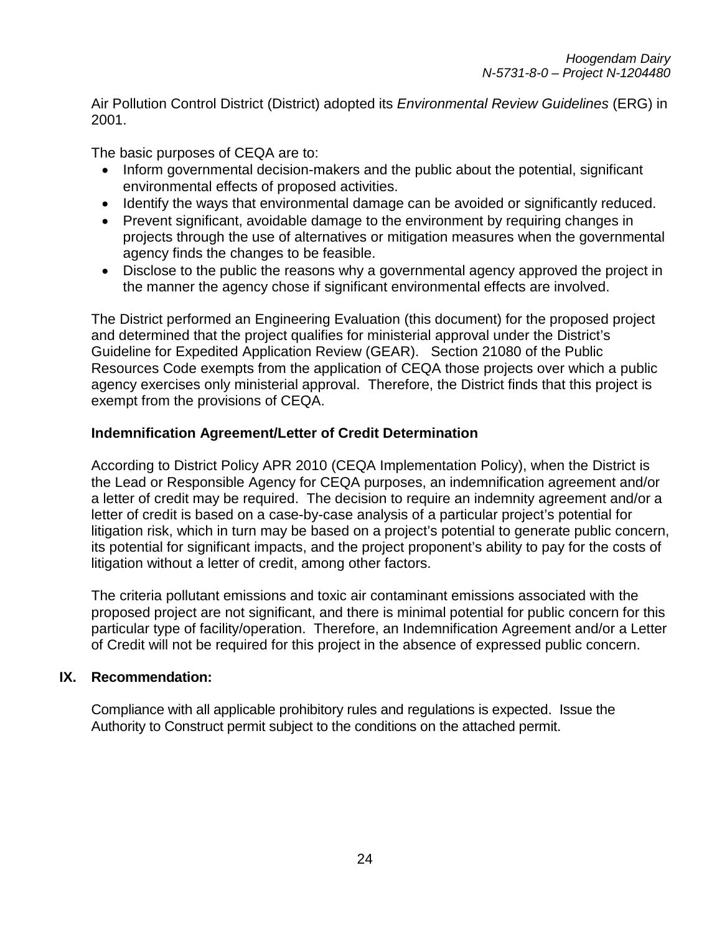Air Pollution Control District (District) adopted its *Environmental Review Guidelines* (ERG) in 2001.

The basic purposes of CEQA are to:

- Inform governmental decision-makers and the public about the potential, significant environmental effects of proposed activities.
- Identify the ways that environmental damage can be avoided or significantly reduced.
- Prevent significant, avoidable damage to the environment by requiring changes in projects through the use of alternatives or mitigation measures when the governmental agency finds the changes to be feasible.
- Disclose to the public the reasons why a governmental agency approved the project in the manner the agency chose if significant environmental effects are involved.

The District performed an Engineering Evaluation (this document) for the proposed project and determined that the project qualifies for ministerial approval under the District's Guideline for Expedited Application Review (GEAR). Section 21080 of the Public Resources Code exempts from the application of CEQA those projects over which a public agency exercises only ministerial approval. Therefore, the District finds that this project is exempt from the provisions of CEQA.

#### **Indemnification Agreement/Letter of Credit Determination**

According to District Policy APR 2010 (CEQA Implementation Policy), when the District is the Lead or Responsible Agency for CEQA purposes, an indemnification agreement and/or a letter of credit may be required. The decision to require an indemnity agreement and/or a letter of credit is based on a case-by-case analysis of a particular project's potential for litigation risk, which in turn may be based on a project's potential to generate public concern, its potential for significant impacts, and the project proponent's ability to pay for the costs of litigation without a letter of credit, among other factors.

The criteria pollutant emissions and toxic air contaminant emissions associated with the proposed project are not significant, and there is minimal potential for public concern for this particular type of facility/operation. Therefore, an Indemnification Agreement and/or a Letter of Credit will not be required for this project in the absence of expressed public concern.

#### **IX. Recommendation:**

Compliance with all applicable prohibitory rules and regulations is expected. Issue the Authority to Construct permit subject to the conditions on the attached permit.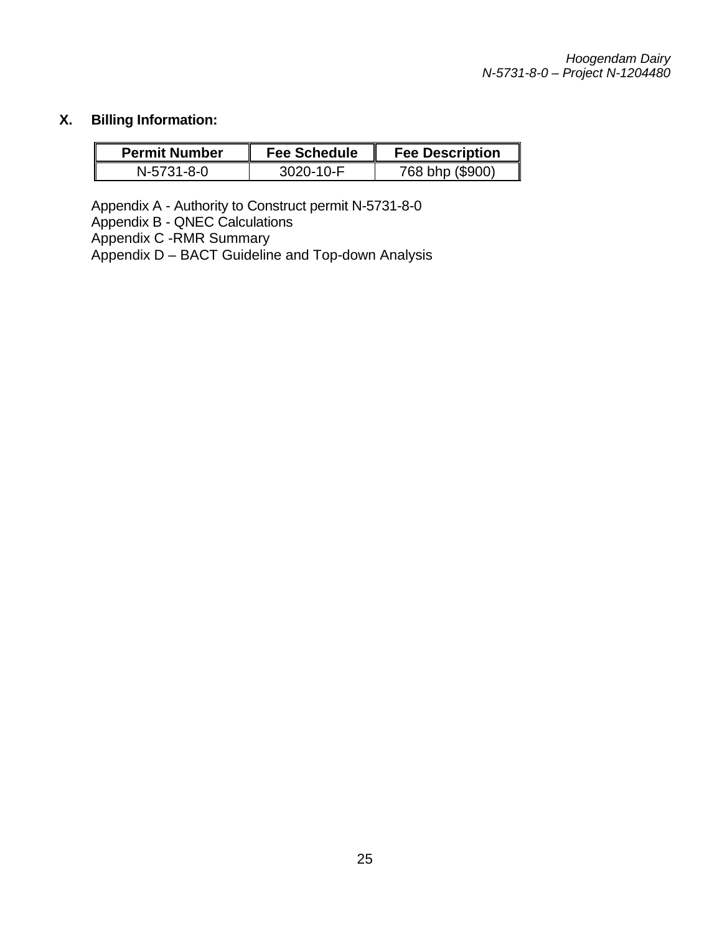# **X. Billing Information:**

| <b>Permit Number</b> | <b>Fee Schedule</b> | <b>Fee Description</b> |
|----------------------|---------------------|------------------------|
| N-5731-8-0           | 3020-10-F           | 768 bhp (\$900)        |

Appendix A - Authority to Construct permit N-5731-8-0 Appendix B - QNEC Calculations Appendix C -RMR Summary Appendix D – BACT Guideline and Top-down Analysis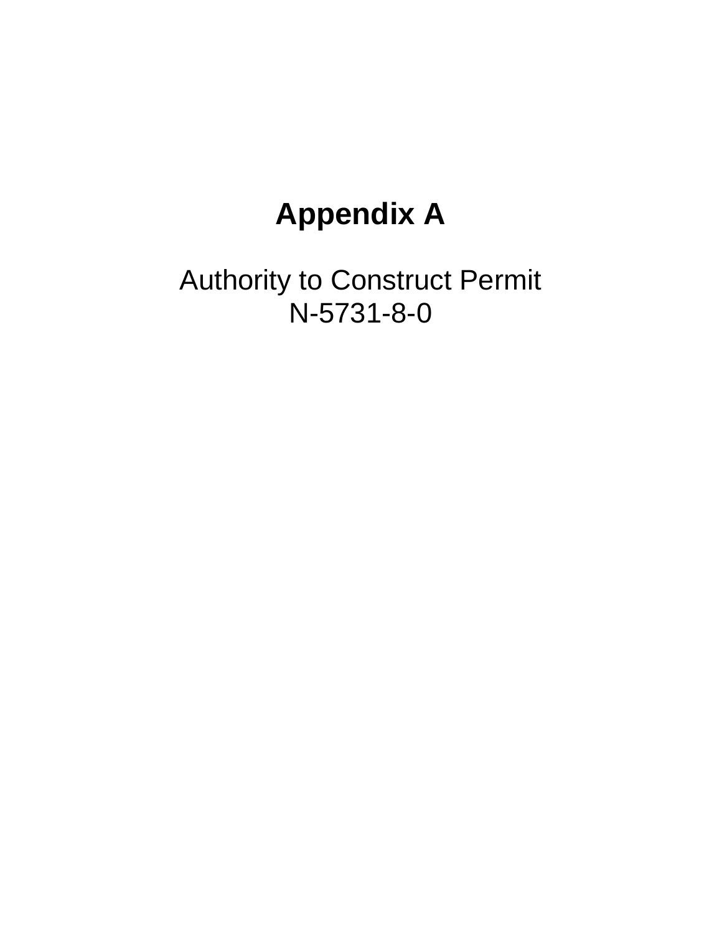# **Appendix A**

Authority to Construct Permit N-5731-8-0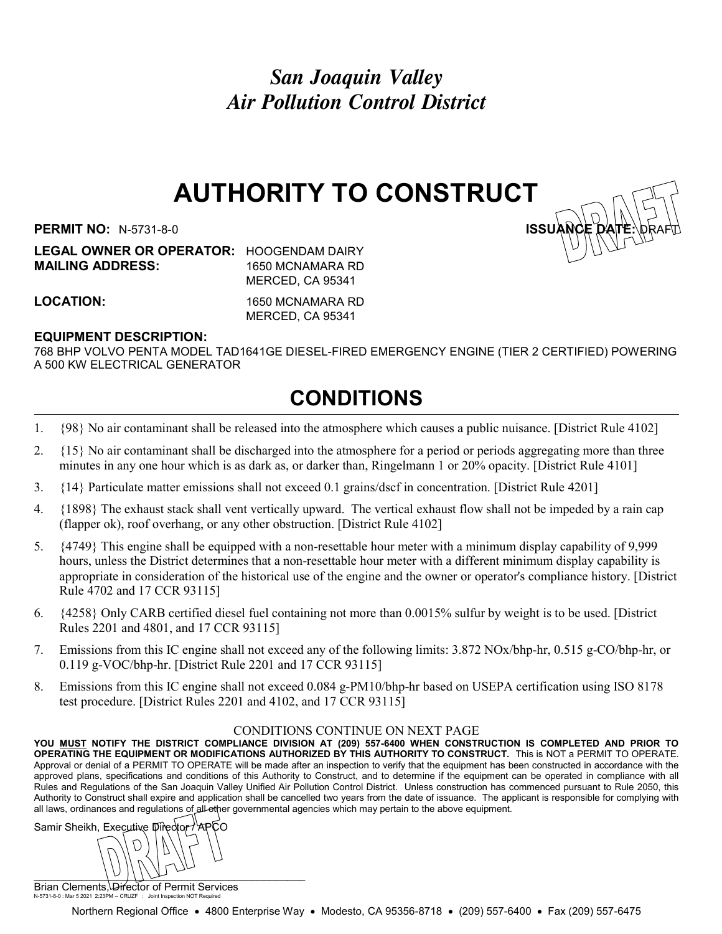San Joaquin Valley Air Pollution Control District

# AUTHORITY TO CONSTRUCT

PERMIT NO: N-5731-8-0 ISSUANCE DATE: DRAFTING: NEWSLET

LEGAL OWNER OR OPERATOR: HOOGENDAM DAIRY MAILING ADDRESS: 1650 MCNAMARA RD MERCED, CA 95341

LOCATION: 1650 MCNAMARA RD MERCED, CA 95341

#### EQUIPMENT DESCRIPTION:

768 BHP VOLVO PENTA MODEL TAD1641GE DIESEL-FIRED EMERGENCY ENGINE (TIER 2 CERTIFIED) POWERING A 500 KW ELECTRICAL GENERATOR

# CONDITIONS

- 1. {98} No air contaminant shall be released into the atmosphere which causes a public nuisance. [District Rule 4102]
- 2. {15} No air contaminant shall be discharged into the atmosphere for a period or periods aggregating more than three minutes in any one hour which is as dark as, or darker than, Ringelmann 1 or 20% opacity. [District Rule 4101]
- 3. {14} Particulate matter emissions shall not exceed 0.1 grains/dscf in concentration. [District Rule 4201]
- 4. {1898} The exhaust stack shall vent vertically upward. The vertical exhaust flow shall not be impeded by a rain cap (flapper ok), roof overhang, or any other obstruction. [District Rule 4102]
- 5. {4749} This engine shall be equipped with a non-resettable hour meter with a minimum display capability of 9,999 hours, unless the District determines that a non-resettable hour meter with a different minimum display capability is appropriate in consideration of the historical use of the engine and the owner or operator's compliance history. [District Rule 4702 and 17 CCR 93115]
- 6. {4258} Only CARB certified diesel fuel containing not more than 0.0015% sulfur by weight is to be used. [District Rules 2201 and 4801, and 17 CCR 93115]
- 7. Emissions from this IC engine shall not exceed any of the following limits: 3.872 NOx/bhp-hr, 0.515 g-CO/bhp-hr, or 0.119 g-VOC/bhp-hr. [District Rule 2201 and 17 CCR 93115]
- 8. Emissions from this IC engine shall not exceed 0.084 g-PM10/bhp-hr based on USEPA certification using ISO 8178 test procedure. [District Rules 2201 and 4102, and 17 CCR 93115]

#### CONDITIONS CONTINUE ON NEXT PAGE

YOU MUST NOTIFY THE DISTRICT COMPLIANCE DIVISION AT (209) 557-6400 WHEN CONSTRUCTION IS COMPLETED AND PRIOR TO OPERATING THE EQUIPMENT OR MODIFICATIONS AUTHORIZED BY THIS AUTHORITY TO CONSTRUCT. This is NOT a PERMIT TO OPERATE. Approval or denial of a PERMIT TO OPERATE will be made after an inspection to verify that the equipment has been constructed in accordance with the approved plans, specifications and conditions of this Authority to Construct, and to determine if the equipment can be operated in compliance with all Rules and Regulations of the San Joaquin Valley Unified Air Pollution Control District. Unless construction has commenced pursuant to Rule 2050, this Authority to Construct shall expire and application shall be cancelled two years from the date of issuance. The applicant is responsible for complying with all laws, ordinances and regulations of all other governmental agencies which may pertain to the above equipment.

Samir Sheikh, Executive Director / APCO  $\cup$ 

Brian Clements, Director of Permit Services N-5731-8-0 : Mar 5 2021 2:23PM -- CRUZF : Joint Inspection NOT Required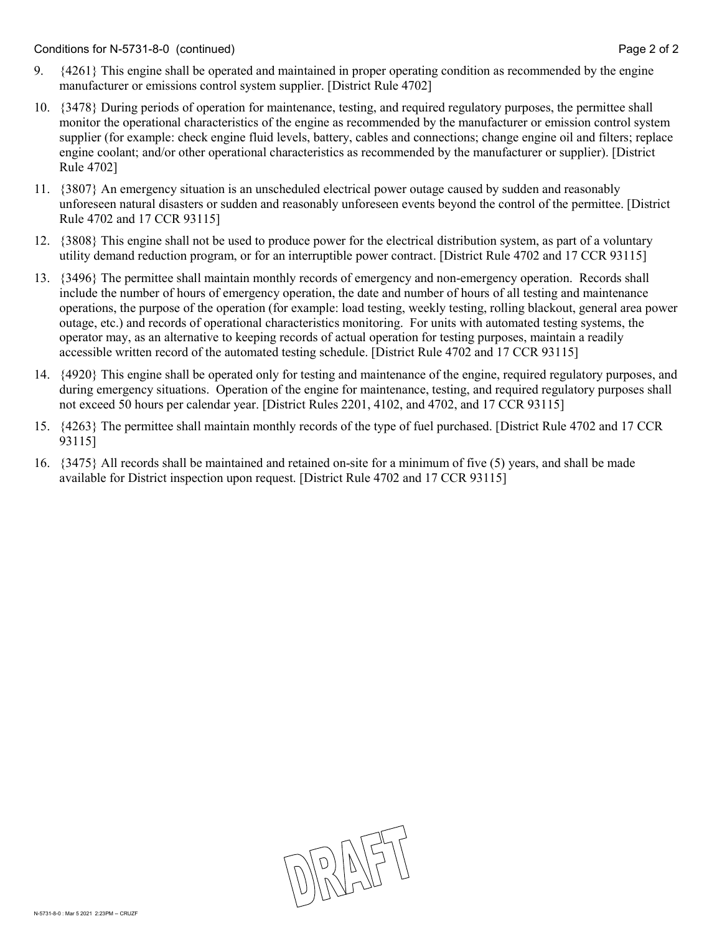- 9. {4261} This engine shall be operated and maintained in proper operating condition as recommended by the engine manufacturer or emissions control system supplier. [District Rule 4702]
- 10. {3478} During periods of operation for maintenance, testing, and required regulatory purposes, the permittee shall monitor the operational characteristics of the engine as recommended by the manufacturer or emission control system supplier (for example: check engine fluid levels, battery, cables and connections; change engine oil and filters; replace engine coolant; and/or other operational characteristics as recommended by the manufacturer or supplier). [District Rule 4702]
- 11. {3807} An emergency situation is an unscheduled electrical power outage caused by sudden and reasonably unforeseen natural disasters or sudden and reasonably unforeseen events beyond the control of the permittee. [District Rule 4702 and 17 CCR 93115]
- 12. {3808} This engine shall not be used to produce power for the electrical distribution system, as part of a voluntary utility demand reduction program, or for an interruptible power contract. [District Rule 4702 and 17 CCR 93115]
- 13. {3496} The permittee shall maintain monthly records of emergency and non-emergency operation. Records shall include the number of hours of emergency operation, the date and number of hours of all testing and maintenance operations, the purpose of the operation (for example: load testing, weekly testing, rolling blackout, general area power outage, etc.) and records of operational characteristics monitoring. For units with automated testing systems, the operator may, as an alternative to keeping records of actual operation for testing purposes, maintain a readily accessible written record of the automated testing schedule. [District Rule 4702 and 17 CCR 93115]
- 14. {4920} This engine shall be operated only for testing and maintenance of the engine, required regulatory purposes, and during emergency situations. Operation of the engine for maintenance, testing, and required regulatory purposes shall not exceed 50 hours per calendar year. [District Rules 2201, 4102, and 4702, and 17 CCR 93115]
- 15. {4263} The permittee shall maintain monthly records of the type of fuel purchased. [District Rule 4702 and 17 CCR 93115]
- 16. {3475} All records shall be maintained and retained on-site for a minimum of five (5) years, and shall be made available for District inspection upon request. [District Rule 4702 and 17 CCR 93115]

DRAFT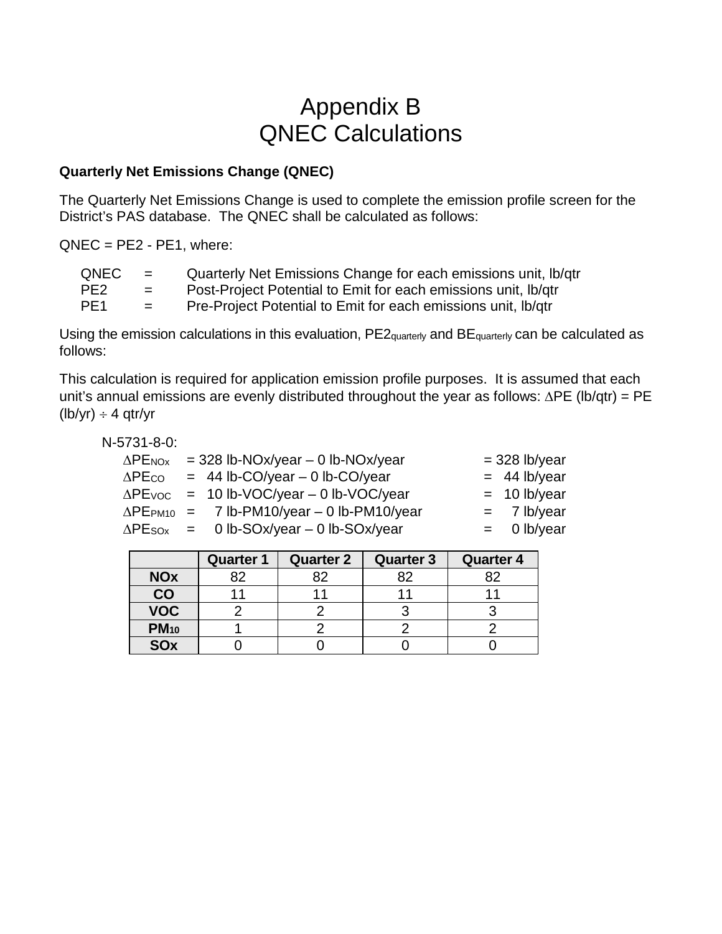# Appendix B QNEC Calculations

### **Quarterly Net Emissions Change (QNEC)**

The Quarterly Net Emissions Change is used to complete the emission profile screen for the District's PAS database. The QNEC shall be calculated as follows:

 $QNEC = PE2 - PE1$ , where:

| QNEC            | $=$ | Quarterly Net Emissions Change for each emissions unit, Ib/qtr |
|-----------------|-----|----------------------------------------------------------------|
| PE <sub>2</sub> | $=$ | Post-Project Potential to Emit for each emissions unit, Ib/qtr |
| PE <sub>1</sub> | $=$ | Pre-Project Potential to Emit for each emissions unit, Ib/qtr  |

Using the emission calculations in this evaluation, PE2<sub>quarterly</sub> and BE<sub>quarterly</sub> can be calculated as follows:

This calculation is required for application emission profile purposes. It is assumed that each unit's annual emissions are evenly distributed throughout the year as follows: ∆PE (lb/qtr) = PE  $(lb/yr) \div 4$  qtr/yr

| N-5731-8-0: |                                                               |                 |
|-------------|---------------------------------------------------------------|-----------------|
|             | $\Delta$ PE <sub>NOx</sub> = 328 lb-NOx/year – 0 lb-NOx/year  | $=$ 328 lb/year |
|             | $\triangle PECO$ = 44 lb-CO/year - 0 lb-CO/year               | $=$ 44 lb/year  |
|             | $\triangle$ PEvoc = 10 lb-VOC/year - 0 lb-VOC/year            | $= 10$ lb/year  |
|             | $\Delta$ PE <sub>PM10</sub> = 7 lb-PM10/year - 0 lb-PM10/year | $= 7$ lb/year   |
|             | $\Delta$ PE <sub>SOx</sub> = 0 lb-SOx/year – 0 lb-SOx/year    | $=$ 0 lb/year   |

|                       | <b>Quarter 1</b> | <b>Quarter 2</b> | <b>Quarter 3</b> | <b>Quarter 4</b> |
|-----------------------|------------------|------------------|------------------|------------------|
| <b>NOx</b>            | 82               | RΩ               | 82               | 82               |
| CO                    |                  |                  |                  |                  |
| <b>VOC</b>            |                  |                  |                  |                  |
| <b>PM10</b>           |                  |                  |                  |                  |
| <b>SO<sub>x</sub></b> |                  |                  |                  |                  |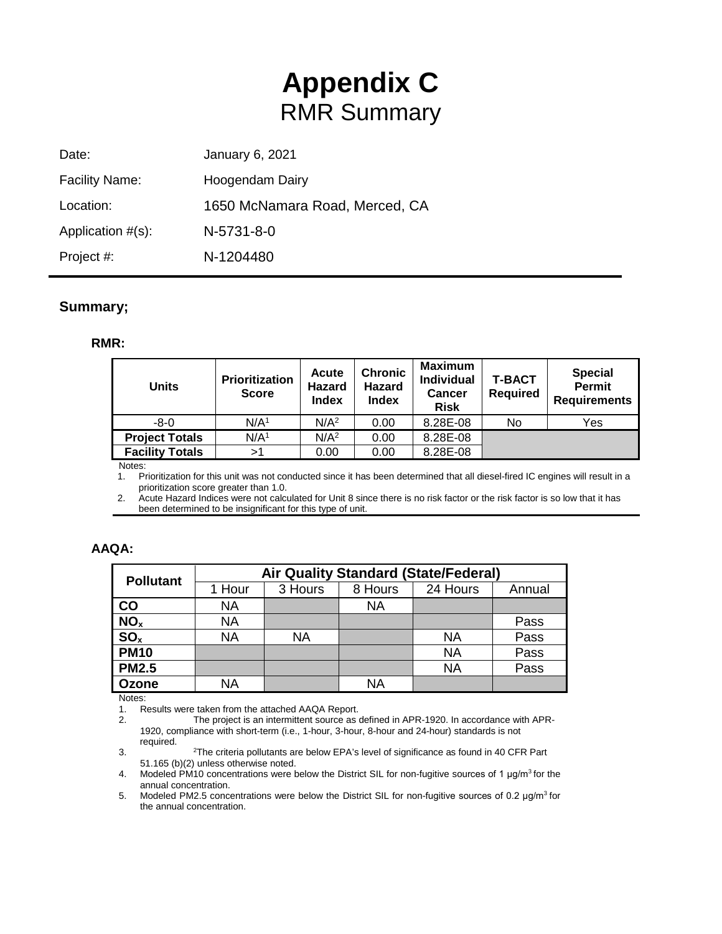# **Appendix C** RMR Summary

| January 6, 2021<br>Date:                    |  |
|---------------------------------------------|--|
| <b>Facility Name:</b><br>Hoogendam Dairy    |  |
| 1650 McNamara Road, Merced, CA<br>Location: |  |
| Application $#(s)$ :<br>N-5731-8-0          |  |
| N-1204480<br>Project #:                     |  |

#### **Summary;**

#### **RMR:**

| <b>Units</b>                                | Prioritization<br><b>Score</b> | Acute<br>Hazard<br><b>Index</b> | <b>Chronic</b><br><b>Hazard</b><br><b>Index</b> | <b>Maximum</b><br><b>Individual</b><br><b>Cancer</b><br><b>Risk</b> | <b>T-BACT</b><br><b>Required</b> | <b>Special</b><br>Permit<br><b>Requirements</b> |
|---------------------------------------------|--------------------------------|---------------------------------|-------------------------------------------------|---------------------------------------------------------------------|----------------------------------|-------------------------------------------------|
| -8-0                                        | N/A <sup>1</sup>               | N/A <sup>2</sup>                | 0.00                                            | 8.28E-08                                                            | No                               | Yes                                             |
| <b>Project Totals</b>                       | N/A <sup>1</sup>               | N/A <sup>2</sup>                | 0.00                                            | 8.28E-08                                                            |                                  |                                                 |
| <b>Facility Totals</b><br>$1.1 - 1.2 - 1.1$ | >1                             | 0.00                            | 0.00                                            | 8.28E-08                                                            |                                  |                                                 |

Notes:

1. Prioritization for this unit was not conducted since it has been determined that all diesel-fired IC engines will result in a prioritization score greater than 1.0.

2. Acute Hazard Indices were not calculated for Unit 8 since there is no risk factor or the risk factor is so low that it has been determined to be insignificant for this type of unit.

| А<br>V | ΑQ<br>, | Δ |  |
|--------|---------|---|--|
|        |         |   |  |

| <b>Pollutant</b> | <b>Air Quality Standard (State/Federal)</b> |           |         |           |        |  |  |  |
|------------------|---------------------------------------------|-----------|---------|-----------|--------|--|--|--|
|                  | 1 Hour                                      | 3 Hours   | 8 Hours | 24 Hours  | Annual |  |  |  |
| CO               | <b>NA</b>                                   |           | ΝA      |           |        |  |  |  |
| NO <sub>x</sub>  | <b>NA</b>                                   |           |         |           | Pass   |  |  |  |
| SO <sub>x</sub>  | <b>NA</b>                                   | <b>NA</b> |         | <b>NA</b> | Pass   |  |  |  |
| <b>PM10</b>      |                                             |           |         | <b>NA</b> | Pass   |  |  |  |
| <b>PM2.5</b>     |                                             |           |         | <b>NA</b> | Pass   |  |  |  |
| Ozone            | NA                                          |           | NA      |           |        |  |  |  |

Notes:

1. Results were taken from the attached AAQA Report.<br>2. The project is an intermittent source as

The project is an intermittent source as defined in APR-1920. In accordance with APR-1920, compliance with short-term (i.e., 1-hour, 3-hour, 8-hour and 24-hour) standards is not required.

 $3.$ The criteria pollutants are below EPA's level of significance as found in 40 CFR Part 51.165 (b)(2) unless otherwise noted.

4. Modeled PM10 concentrations were below the District SIL for non-fugitive sources of 1 μg/m<sup>3</sup> for the annual concentration.

5. Modeled PM2.5 concentrations were below the District SIL for non-fugitive sources of 0.2 μg/m3 for the annual concentration.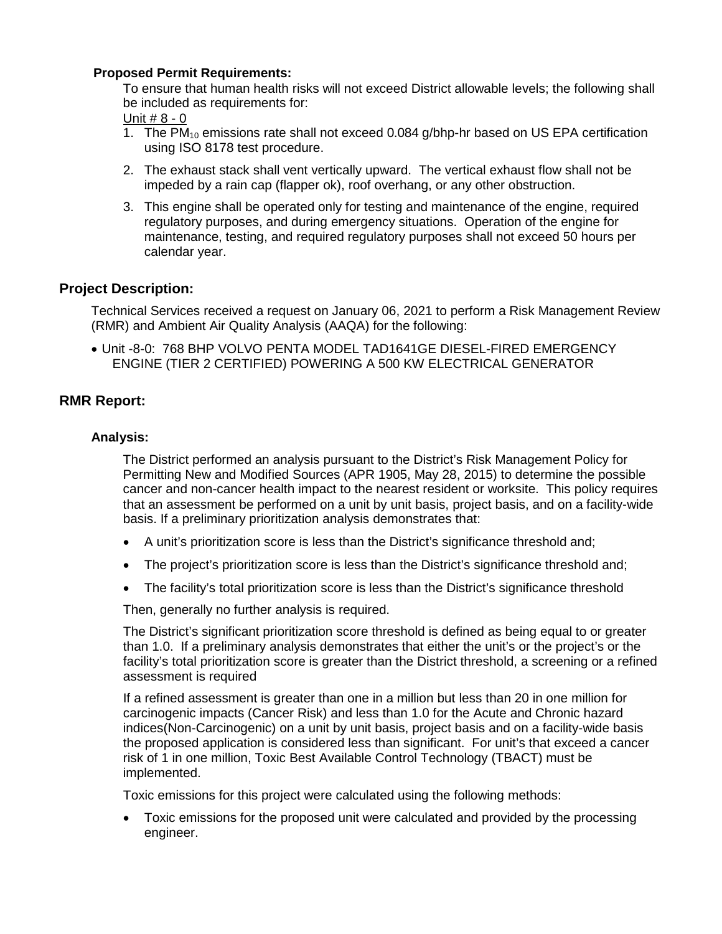#### **Proposed Permit Requirements:**

To ensure that human health risks will not exceed District allowable levels; the following shall be included as requirements for:

Unit # 8 - 0

- 1. The PM<sub>10</sub> emissions rate shall not exceed 0.084 g/bhp-hr based on US EPA certification using ISO 8178 test procedure.
- 2. The exhaust stack shall vent vertically upward. The vertical exhaust flow shall not be impeded by a rain cap (flapper ok), roof overhang, or any other obstruction.
- 3. This engine shall be operated only for testing and maintenance of the engine, required regulatory purposes, and during emergency situations. Operation of the engine for maintenance, testing, and required regulatory purposes shall not exceed 50 hours per calendar year.

#### **Project Description:**

Technical Services received a request on January 06, 2021 to perform a Risk Management Review (RMR) and Ambient Air Quality Analysis (AAQA) for the following:

• Unit -8-0: 768 BHP VOLVO PENTA MODEL TAD1641GE DIESEL-FIRED EMERGENCY ENGINE (TIER 2 CERTIFIED) POWERING A 500 KW ELECTRICAL GENERATOR

#### **RMR Report:**

#### **Analysis:**

The District performed an analysis pursuant to the District's Risk Management Policy for Permitting New and Modified Sources (APR 1905, May 28, 2015) to determine the possible cancer and non-cancer health impact to the nearest resident or worksite. This policy requires that an assessment be performed on a unit by unit basis, project basis, and on a facility-wide basis. If a preliminary prioritization analysis demonstrates that:

- A unit's prioritization score is less than the District's significance threshold and;
- The project's prioritization score is less than the District's significance threshold and;
- The facility's total prioritization score is less than the District's significance threshold

Then, generally no further analysis is required.

The District's significant prioritization score threshold is defined as being equal to or greater than 1.0. If a preliminary analysis demonstrates that either the unit's or the project's or the facility's total prioritization score is greater than the District threshold, a screening or a refined assessment is required

If a refined assessment is greater than one in a million but less than 20 in one million for carcinogenic impacts (Cancer Risk) and less than 1.0 for the Acute and Chronic hazard indices(Non-Carcinogenic) on a unit by unit basis, project basis and on a facility-wide basis the proposed application is considered less than significant. For unit's that exceed a cancer risk of 1 in one million, Toxic Best Available Control Technology (TBACT) must be implemented.

Toxic emissions for this project were calculated using the following methods:

• Toxic emissions for the proposed unit were calculated and provided by the processing engineer.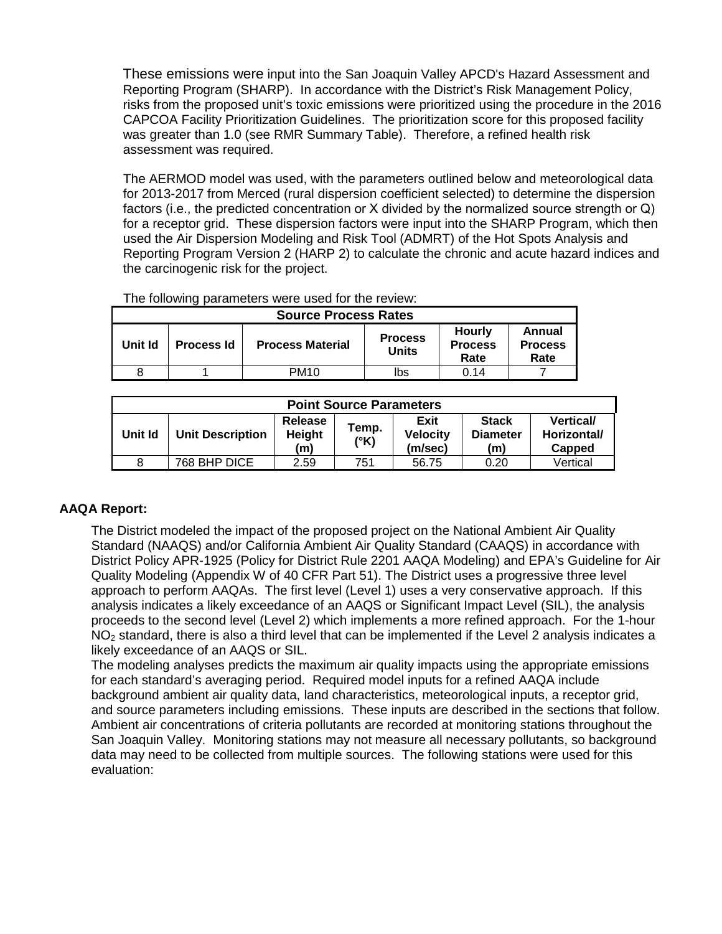These emissions were input into the San Joaquin Valley APCD's Hazard Assessment and Reporting Program (SHARP). In accordance with the District's Risk Management Policy, risks from the proposed unit's toxic emissions were prioritized using the procedure in the 2016 CAPCOA Facility Prioritization Guidelines. The prioritization score for this proposed facility was greater than 1.0 (see RMR Summary Table). Therefore, a refined health risk assessment was required.

The AERMOD model was used, with the parameters outlined below and meteorological data for 2013-2017 from Merced (rural dispersion coefficient selected) to determine the dispersion factors (i.e., the predicted concentration or Χ divided by the normalized source strength or Q) for a receptor grid. These dispersion factors were input into the SHARP Program, which then used the Air Dispersion Modeling and Risk Tool (ADMRT) of the Hot Spots Analysis and Reporting Program Version 2 (HARP 2) to calculate the chronic and acute hazard indices and the carcinogenic risk for the project.

| THE IDIOWING PARAMETERS WELE USED TOF THE FEVIEW.<br><b>Source Process Rates</b> |  |             |                                |                                         |                                  |
|----------------------------------------------------------------------------------|--|-------------|--------------------------------|-----------------------------------------|----------------------------------|
| <b>Process Material</b><br>Unit Id<br><b>Process Id</b>                          |  |             | <b>Process</b><br><b>Units</b> | <b>Hourly</b><br><b>Process</b><br>Rate | Annual<br><b>Process</b><br>Rate |
|                                                                                  |  | <b>PM10</b> | lbs                            | 0.14                                    |                                  |

The following parameters were used for the review:

| <b>Vertical/</b><br>Horizontal/<br><b>Diameter</b><br>Capped |
|--------------------------------------------------------------|
| Vertical                                                     |
| <b>Stack</b><br>(m)<br>0.20                                  |

#### **AAQA Report:**

The District modeled the impact of the proposed project on the National Ambient Air Quality Standard (NAAQS) and/or California Ambient Air Quality Standard (CAAQS) in accordance with District Policy APR-1925 (Policy for District Rule 2201 AAQA Modeling) and EPA's Guideline for Air Quality Modeling (Appendix W of 40 CFR Part 51). The District uses a progressive three level approach to perform AAQAs. The first level (Level 1) uses a very conservative approach. If this analysis indicates a likely exceedance of an AAQS or Significant Impact Level (SIL), the analysis proceeds to the second level (Level 2) which implements a more refined approach. For the 1-hour NO<sub>2</sub> standard, there is also a third level that can be implemented if the Level 2 analysis indicates a likely exceedance of an AAQS or SIL.

The modeling analyses predicts the maximum air quality impacts using the appropriate emissions for each standard's averaging period. Required model inputs for a refined AAQA include background ambient air quality data, land characteristics, meteorological inputs, a receptor grid, and source parameters including emissions. These inputs are described in the sections that follow. Ambient air concentrations of criteria pollutants are recorded at monitoring stations throughout the San Joaquin Valley. Monitoring stations may not measure all necessary pollutants, so background data may need to be collected from multiple sources. The following stations were used for this evaluation: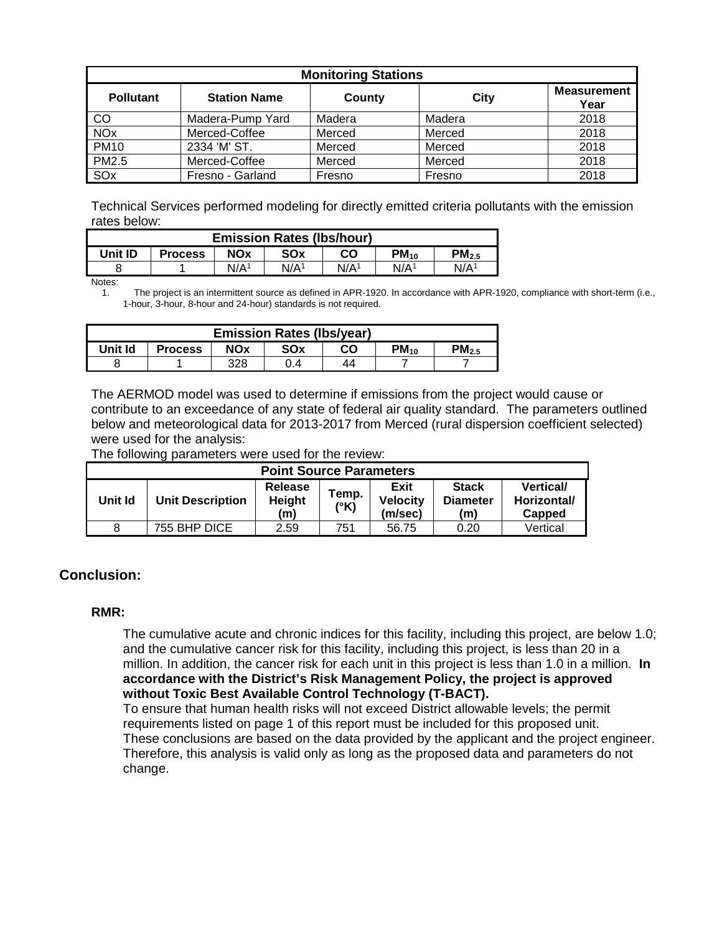| <b>Monitoring Stations</b> |                     |        |        |                            |  |  |
|----------------------------|---------------------|--------|--------|----------------------------|--|--|
| <b>Pollutant</b>           | <b>Station Name</b> | County | City   | <b>Measurement</b><br>Year |  |  |
| CO                         | Madera-Pump Yard    | Madera | Madera | 2018                       |  |  |
| <b>NO<sub>x</sub></b>      | Merced-Coffee       | Merced | Merced | 2018                       |  |  |
| <b>PM10</b>                | 2334 'M' ST.        | Merced | Merced | 2018                       |  |  |
| <b>PM2.5</b>               | Merced-Coffee       | Merced | Merced | 2018                       |  |  |
| SO <sub>x</sub>            | Fresno - Garland    | Fresno | Fresno | 2018                       |  |  |

Technical Services performed modeling for directly emitted criteria pollutants with the emission rates below:

| <b>Emission Rates (Ibs/hour)</b> |                |                  |                  |                  |                  |                   |
|----------------------------------|----------------|------------------|------------------|------------------|------------------|-------------------|
| Unit ID                          | <b>Process</b> | <b>NOx</b>       | SOx              | CO               | $PM_{10}$        | PM <sub>2.5</sub> |
|                                  |                | N/A <sup>1</sup> | N/A <sup>1</sup> | N/A <sup>1</sup> | N/A <sup>1</sup> | N/A <sup>1</sup>  |

Notes:

1. The project is an intermittent source as defined in APR-1920. In accordance with APR-1920, compliance with short-term (i.e., 1-hour, 3-hour, 8-hour and 24-hour) standards is not required.

| <b>Emission Rates (Ibs/year)</b> |                |            |     |    |           |                        |
|----------------------------------|----------------|------------|-----|----|-----------|------------------------|
| Unit Id                          | <b>Process</b> | <b>NOx</b> | SOx | CO | $PM_{10}$ | $\mathsf{^{D}M}_{2.5}$ |
|                                  |                | 328        | 0.4 | 44 |           |                        |

The AERMOD model was used to determine if emissions from the project would cause or contribute to an exceedance of any state of federal air quality standard. The parameters outlined below and meteorological data for 2013-2017 from Merced (rural dispersion coefficient selected) were used for the analysis:

The following parameters were used for the review:

| <b>Point Source Parameters</b> |                         |                                 |               |                                    |                                        |                                          |
|--------------------------------|-------------------------|---------------------------------|---------------|------------------------------------|----------------------------------------|------------------------------------------|
| Unit Id                        | <b>Unit Description</b> | <b>Release</b><br>Height<br>(m) | Temp.<br>(°K) | Exit<br><b>Velocity</b><br>(m/sec) | <b>Stack</b><br><b>Diameter</b><br>(m) | <b>Vertical</b><br>Horizontal/<br>Capped |
| 8                              | 755 BHP DICE            | 2.59                            | 751           | 56.75                              | 0.20                                   | Vertical                                 |

#### **Conclusion:**

#### **RMR:**

The cumulative acute and chronic indices for this facility, including this project, are below 1.0; and the cumulative cancer risk for this facility, including this project, is less than 20 in a million. In addition, the cancer risk for each unit in this project is less than 1.0 in a million. **In accordance with the District's Risk Management Policy, the project is approved without Toxic Best Available Control Technology (T-BACT).**

To ensure that human health risks will not exceed District allowable levels; the permit requirements listed on page 1 of this report must be included for this proposed unit. These conclusions are based on the data provided by the applicant and the project engineer. Therefore, this analysis is valid only as long as the proposed data and parameters do not change.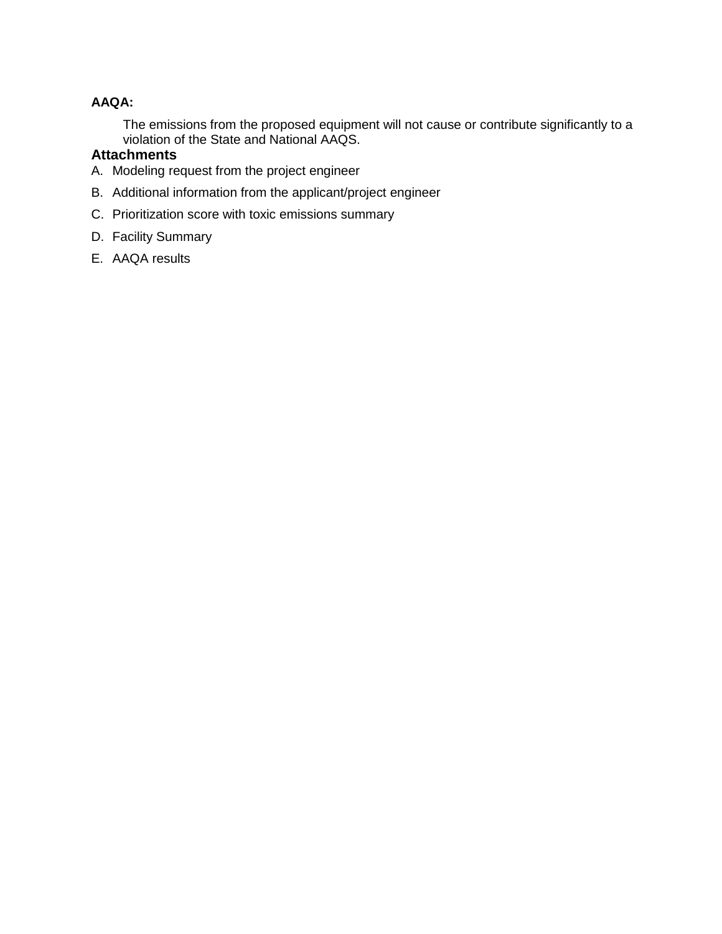#### **AAQA:**

The emissions from the proposed equipment will not cause or contribute significantly to a violation of the State and National AAQS.

#### **Attachments**

- A. Modeling request from the project engineer
- B. Additional information from the applicant/project engineer
- C. Prioritization score with toxic emissions summary
- D. Facility Summary
- E. AAQA results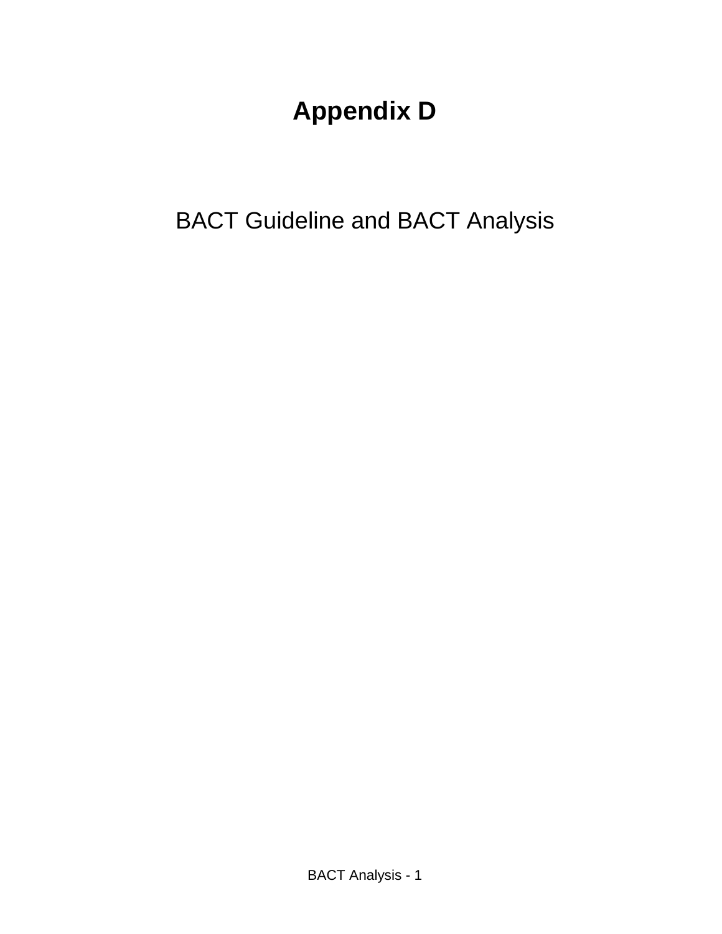# **Appendix D**

BACT Guideline and BACT Analysis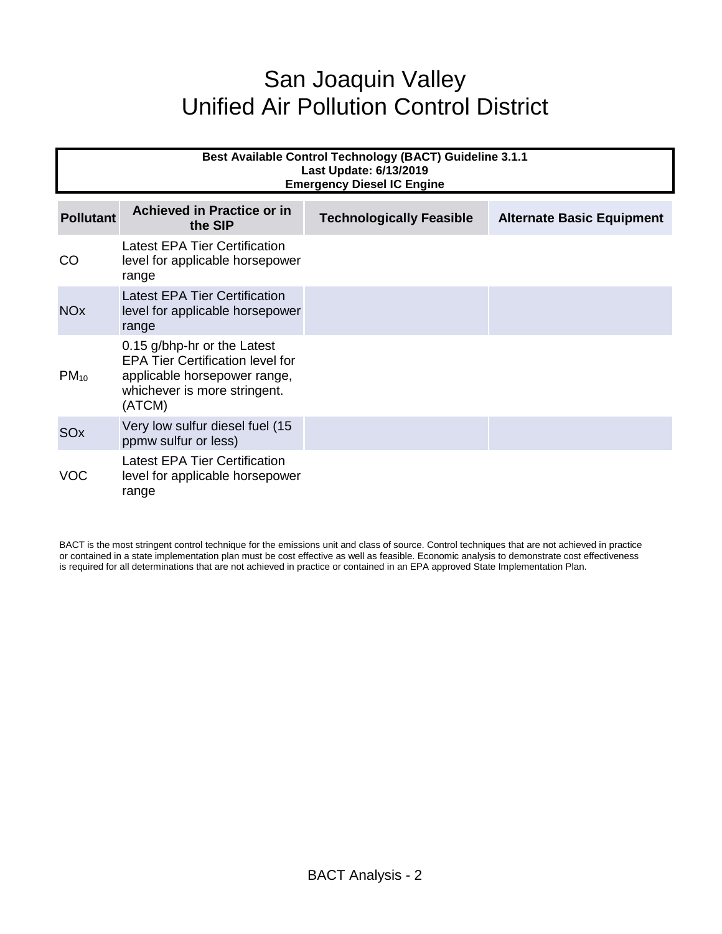# San Joaquin Valley Unified Air Pollution Control District

| <b>Best Available Control Technology (BACT) Guideline 3.1.1</b><br>Last Update: 6/13/2019<br><b>Emergency Diesel IC Engine</b> |                                                                                                                                                  |                                 |                                  |  |  |  |
|--------------------------------------------------------------------------------------------------------------------------------|--------------------------------------------------------------------------------------------------------------------------------------------------|---------------------------------|----------------------------------|--|--|--|
| <b>Pollutant</b>                                                                                                               | <b>Achieved in Practice or in</b><br>the SIP                                                                                                     | <b>Technologically Feasible</b> | <b>Alternate Basic Equipment</b> |  |  |  |
| CO                                                                                                                             | Latest EPA Tier Certification<br>level for applicable horsepower<br>range                                                                        |                                 |                                  |  |  |  |
| <b>NO<sub>x</sub></b>                                                                                                          | Latest EPA Tier Certification<br>level for applicable horsepower<br>range                                                                        |                                 |                                  |  |  |  |
| $PM_{10}$                                                                                                                      | 0.15 g/bhp-hr or the Latest<br><b>EPA Tier Certification level for</b><br>applicable horsepower range,<br>whichever is more stringent.<br>(ATCM) |                                 |                                  |  |  |  |
| SOx                                                                                                                            | Very low sulfur diesel fuel (15<br>ppmw sulfur or less)                                                                                          |                                 |                                  |  |  |  |
| VOC                                                                                                                            | Latest EPA Tier Certification<br>level for applicable horsepower<br>range                                                                        |                                 |                                  |  |  |  |

BACT is the most stringent control technique for the emissions unit and class of source. Control techniques that are not achieved in practice or contained in a state implementation plan must be cost effective as well as feasible. Economic analysis to demonstrate cost effectiveness is required for all determinations that are not achieved in practice or contained in an EPA approved State Implementation Plan.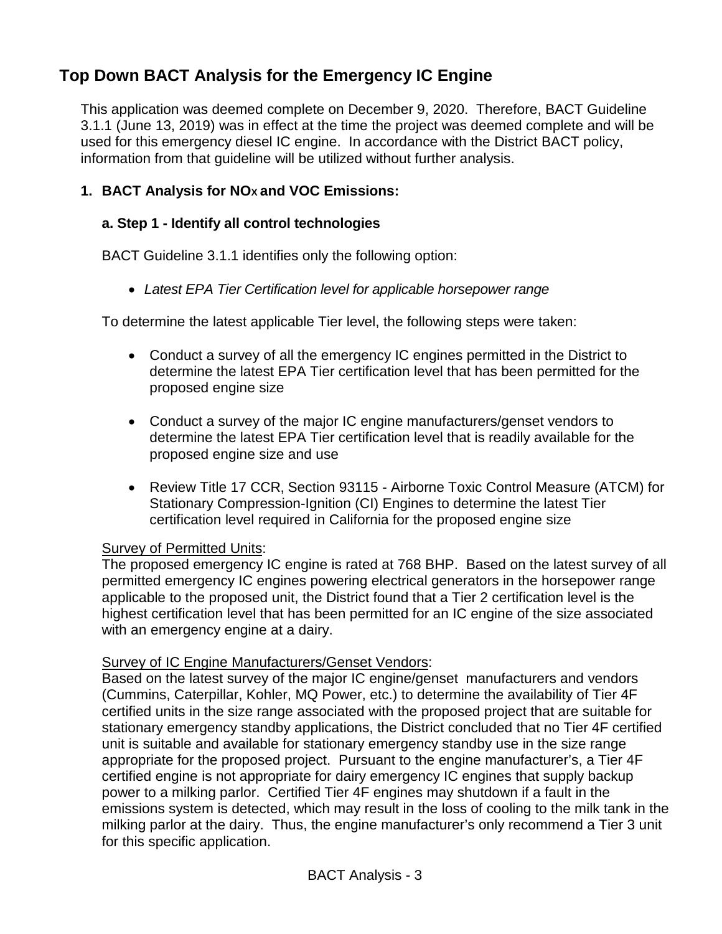# **Top Down BACT Analysis for the Emergency IC Engine**

This application was deemed complete on December 9, 2020. Therefore, BACT Guideline 3.1.1 (June 13, 2019) was in effect at the time the project was deemed complete and will be used for this emergency diesel IC engine. In accordance with the District BACT policy, information from that guideline will be utilized without further analysis.

# 1. **BACT Analysis for NO<sub>X</sub> and VOC Emissions:**

### **a. Step 1 - Identify all control technologies**

BACT Guideline 3.1.1 identifies only the following option:

• *Latest EPA Tier Certification level for applicable horsepower range*

To determine the latest applicable Tier level, the following steps were taken:

- Conduct a survey of all the emergency IC engines permitted in the District to determine the latest EPA Tier certification level that has been permitted for the proposed engine size
- Conduct a survey of the major IC engine manufacturers/genset vendors to determine the latest EPA Tier certification level that is readily available for the proposed engine size and use
- Review Title 17 CCR, Section 93115 Airborne Toxic Control Measure (ATCM) for Stationary Compression-Ignition (CI) Engines to determine the latest Tier certification level required in California for the proposed engine size

#### Survey of Permitted Units:

The proposed emergency IC engine is rated at 768 BHP. Based on the latest survey of all permitted emergency IC engines powering electrical generators in the horsepower range applicable to the proposed unit, the District found that a Tier 2 certification level is the highest certification level that has been permitted for an IC engine of the size associated with an emergency engine at a dairy.

#### Survey of IC Engine Manufacturers/Genset Vendors:

Based on the latest survey of the major IC engine/genset manufacturers and vendors (Cummins, Caterpillar, Kohler, MQ Power, etc.) to determine the availability of Tier 4F certified units in the size range associated with the proposed project that are suitable for stationary emergency standby applications, the District concluded that no Tier 4F certified unit is suitable and available for stationary emergency standby use in the size range appropriate for the proposed project. Pursuant to the engine manufacturer's, a Tier 4F certified engine is not appropriate for dairy emergency IC engines that supply backup power to a milking parlor. Certified Tier 4F engines may shutdown if a fault in the emissions system is detected, which may result in the loss of cooling to the milk tank in the milking parlor at the dairy. Thus, the engine manufacturer's only recommend a Tier 3 unit for this specific application.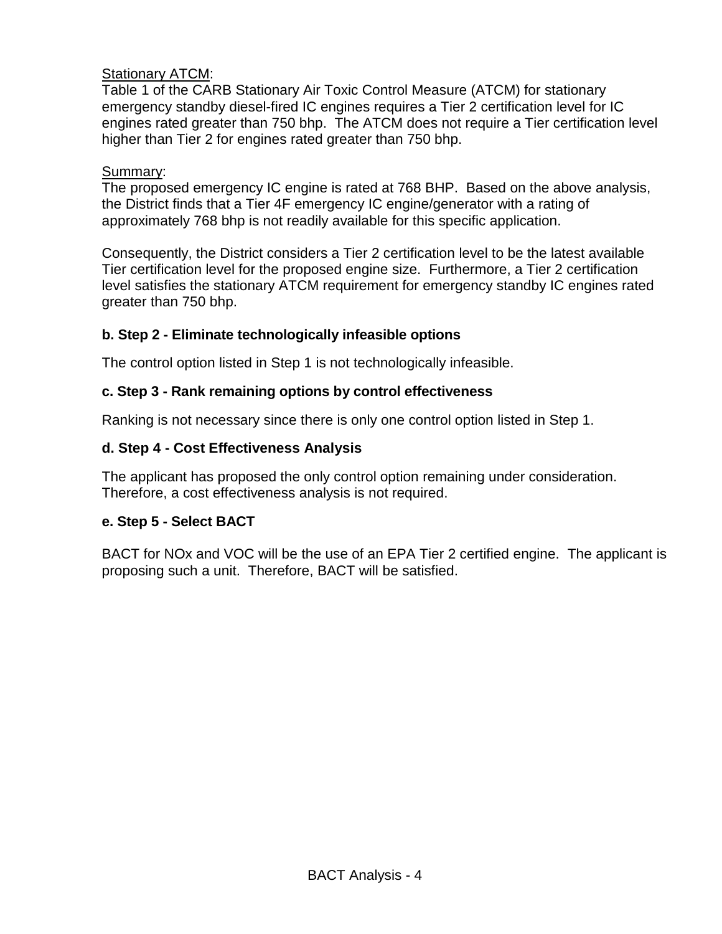# Stationary ATCM:

Table 1 of the CARB Stationary Air Toxic Control Measure (ATCM) for stationary emergency standby diesel-fired IC engines requires a Tier 2 certification level for IC engines rated greater than 750 bhp. The ATCM does not require a Tier certification level higher than Tier 2 for engines rated greater than 750 bhp.

#### Summary:

The proposed emergency IC engine is rated at 768 BHP. Based on the above analysis, the District finds that a Tier 4F emergency IC engine/generator with a rating of approximately 768 bhp is not readily available for this specific application.

Consequently, the District considers a Tier 2 certification level to be the latest available Tier certification level for the proposed engine size. Furthermore, a Tier 2 certification level satisfies the stationary ATCM requirement for emergency standby IC engines rated greater than 750 bhp.

# **b. Step 2 - Eliminate technologically infeasible options**

The control option listed in Step 1 is not technologically infeasible.

### **c. Step 3 - Rank remaining options by control effectiveness**

Ranking is not necessary since there is only one control option listed in Step 1.

# **d. Step 4 - Cost Effectiveness Analysis**

The applicant has proposed the only control option remaining under consideration. Therefore, a cost effectiveness analysis is not required.

# **e. Step 5 - Select BACT**

BACT for NOx and VOC will be the use of an EPA Tier 2 certified engine. The applicant is proposing such a unit. Therefore, BACT will be satisfied.